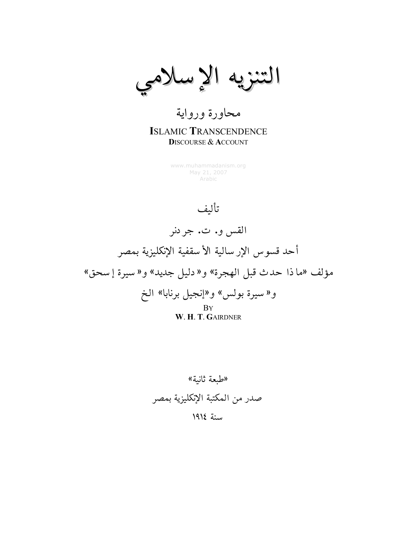التنزيه الإسلامي

### محاورة ورواية **ISLAMIC TRANSCENDENCE DISCOURSE & ACCOUNT**

www.muhammadanism.org May 21, 2007 Arabic

تأليف

القس و. ت. جردنر أحد قسوس الإرسالية الأسقفية الإنكليزية بمصر مؤلف «ما ذا حدث قبل الهجرة» و« دليل جديد» و« سيرة إسحق» و«سيرة بولس» و«إنجيل برنابا» الخ **B**Y W. H. T. GAIRDNER

«طبعة ثانبة» صدر من المكتبة الإنكليزية بمصر سنة ١٩١٤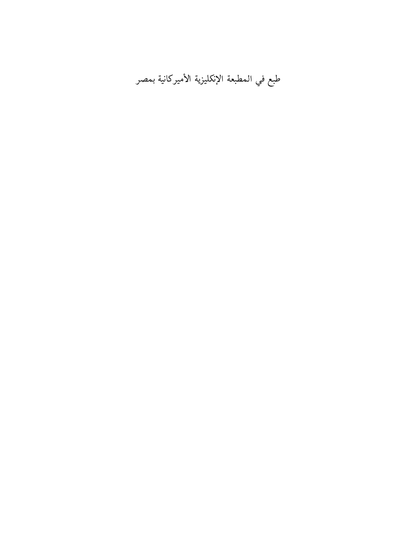طبع في المطبعة الإنكليزية الأميركانية بمصر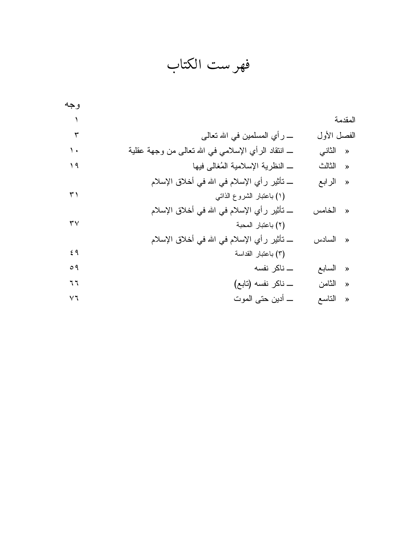فهرست الكتاب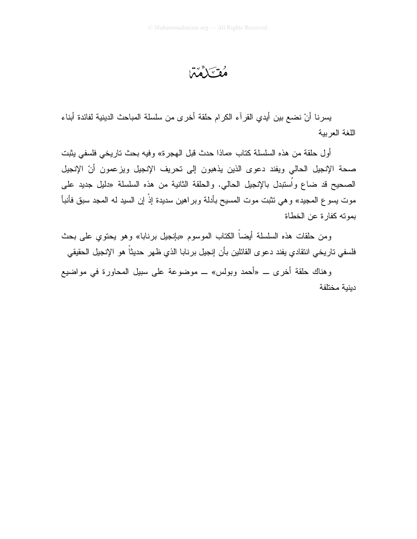فقسكم فئتنا

يسرنا أنْ نضع بين أيدي القرآء الكرام حلقة أخرى من سلسلة المباحث الدينية لفائدة أبناء اللغة العربية

أول حلقة من هذه السلسلة كتاب «ماذا حدث قبل الهجرة» وفيه بحث تاريخي فلسفى يثبت صحة الإنجيل الحالي ويفند دعوى الذين يذهبون إلى تحريف الإنجيل ويزعمون أنّ الإنجيل الصحيح قد ضاع وأستبدل بالإنجيل الحالي. والحلقة الثانية من هذه السلسلة «دليل جديد على موت يسوع المحيد» وهي نثبت موت المسيح بأدلة وبراهين سديدة إذْ إن السيد له المحد سبق فأنبأ بموته كفار ة عن الخطاة

و من حلقات هذه السلسلة أيضـاً الكتاب الموسوم «بانجيل برنابا» وهو يحتوى على بحث فلسفى تاريخي انتقادي يفند دعوى القائلين بأن إنجيل برنابا الذي ظهر حديثاً هو الإنجيل الحقيقي

وهناك حلقة أخرى \_ «أحمد وبولس» \_ موضوعة على سبيل المحاورة في مواضيع دبنبة مختلفة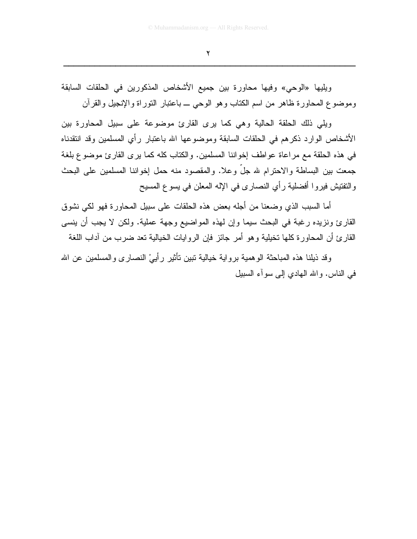$\mathbf{r}$ 

ويليها «الوحي» وفيها محاورة بين جميع الأشخاص المذكورين في الحلقات السابقة وموضوع المحاورة ظاهر من اسم الكتاب وهو الوحي ــ باعتبار النوراة والإنجيل والقرأن

ويلِّي ذلك الحلقة الحالية وهي كما يرى القارئ موضوعة على سبيل المحاور ة بين الأشخاص الوارد ذكر هم في الحلقات السابقة وموضوعها الله باعتبار رأي المسلمين وقد انتقدناه في هذه الحلقة مع مراعاة عواطف إخواننا المسلمين. والكتاب كله كما برى القارئ موضوع بلغة جمعت بين البساطة والاحترام لله جلَّ وعلا. والمقصود منه حمل إخواننا المسلمين على البحث والنقنيش فيروا أفضلية رأي النصاري في الإله المعلن في يسوع المسيح

أما السبب الذي وضعنا من أجله بعض هذه الحلقات على سبيل المحاورة فهو لكي نشوق القارئ ونزيده رغبة في البحث سيما وإن لمهذه المواضيع وجهة عملية. ولكن لا يجب أن ينسى القارئ أن المحاورة كلها تخيلية وهو أمر جائز فإن الروايات الخيالية تعد ضرب من أداب اللغة

وقد ذيلنا هذه المباحثة الوهمية برواية خيالية تبين تأثير رأييْ النصـارى والمسلمين عن الله في الناس. والله المهادي إلى سوأء السبيل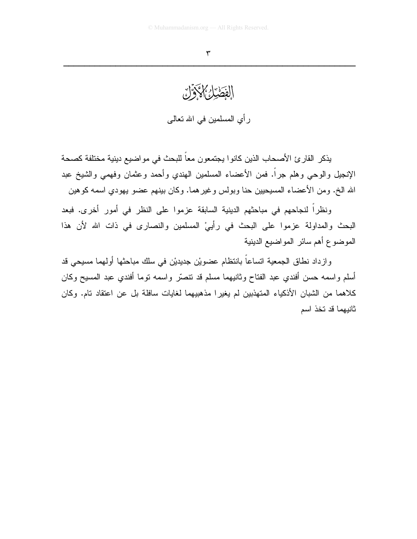# الفَطْئِلُ كَاذَكَرْوٌنَ

رأي المسلمين في الله تعالى

يذكر القارئ الأصحاب الذين كانوا يجتمعون معاً للبحث في مواضيع دينية مختلفة كصحة الإنجيل والوحي وهلم جرأ. فمن الأعضاء المسلمين الـهندي وأحمد وعثمان وفهمي والشيخ عبد الله الخ. ومن الأعضاء المسيحيين حنا وبولس وغير هما. وكان بينهم عضو يهودي اسمه كوهين

ونظراً لنجاحهم في مباحثهم الدينية السابقة عزموا على النظر في أمور أخرى. فبعد البحث والمداولة عزموا على البحث في رأيي المسلمين والنصارى في ذات الله لأن هذا الموضوع أهم سائر المواضيع الدينية

وازداد نطاق الجمعية اتساعاً بانتظام عضويْن جديديْن في سلك مباحثها أولهما مسيحي قد أسلم واسمه حسن أفندي عبد الفتاح وثانيهما مسلم قد نتصَّر واسمه نوما أفندي عبد المسيح وكان كلاهما من الشبان الأذكياء المتهذبين لم يغيرا مذهبيهما لغايات سافلة بل عن اعتقاد تام. وكان ثانيهما قد تخذ اسم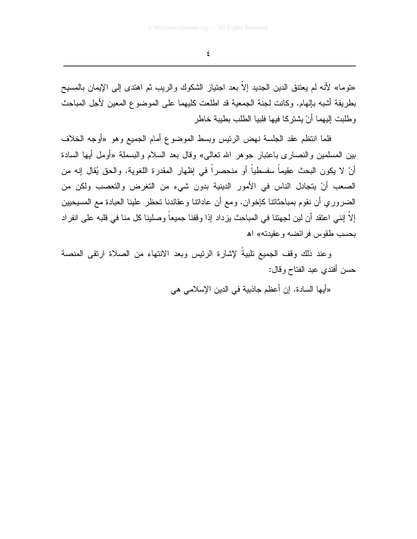$\pmb{\xi}$ 

«نوما» لأنه لم يعتنق الدين الجديد إلاّ بعد اجتياز الشكوك والريب ثم اهتدى إلى الإيمان بالمسيح بطريقة أشبه بإلهام. وكانت لجنة الجمعية قد اطلعت كليهما على الموضوع المعين لأجل المباحث و طلبت إليهما أنْ يشتر كا فيها فلبيا الطلب بطبية خاطر

فلما انتظم عقد الجلسة نهض الرئيس وبسط الموضوع أمام الجميع وهو «أوجه الخلاف بين المسلمين والنصاري باعتبار جوهر الله تعالمي» وقال بعد السلام والبسملة «أومل أبها السادة أنْ لا يكون البحث عقيماً سفسطياً أو منحصراً في إظهار المقدرة اللغوية. والحق يُقال إنه من الصعب أنْ يتجادل الناس في الأمور الدينية بدون شيء من التغرض والتعصب ولكن من الضروري أن نقوم بمباحثاتنا كإخوان. ومع أن عاداننا وعقائدنا نحظر علينا العبادة مع المسيحيين إلا إنني اعتقد أن لين لجهتنا في المباحث يزداد إذا وقفنا جميعا وصلينا كل منا في قلبه على انفراد بحسب طقوس فرائضه وعقيدته» اه

وعند ذلك وقف الجميع نلبيةُ لإشارة الرئيس وبعد الانتهاء من الصلاة ارتقى المنصة حسن أفندي عبد الفتاح وقال:

«أيها السادة. إن أعظم جاذبية في الدين الإسلامي هي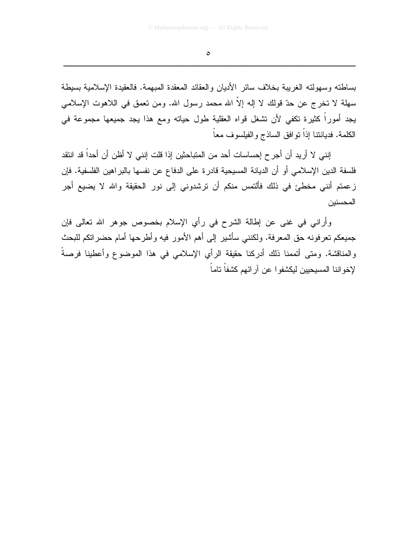$\bullet$ 

بساطته وسهولته الغريبة بخلاف سائر الأديان والعقائد المعقدة المبهمة. فالعقيدة الإسلامية بسيطة سهلة لا تخرج عن حدّ قولك لا إله إلاّ الله محمد رسول الله. ومن تعمق في اللاهوت الإسلامي يجد أموراً كثيرة تكفي لأن تشغل قواه العقلية طول حياته ومع هذا يجد جميعها مجموعة في الكلمة. فدياننتا إذاً نو افق الساذج و الفيلسوف معاً

إنني لا أريد أن أجر ح إحساسات أحد من المتباحثين إذا قلت إنني لا أظن أن أحداً قد انتقد فلسفة الدين الإسلامي أو أن الديانة المسيحية قادرة على الدفاع عن نفسها بالبر اهين الفلسفية. فإن زعمتم أنني مخطئ في ذلك فألتمس منكم أن ترشدوني إلى نور الحقيقة والله لا يضيع أجر المحسنبن

وأراني في غني عن إطالة الشرح في رأي الإسلام بخصوص جوهر الله تعالى فإن جميعكم تعرفونه حق المعرفة. ولكنني سأشير إلى أهم الأمور فيه وأطرحها أمام حضراتكم للبحث والمناقشة. ومتى أتممنا ذلك أدركنا حقيقة الرأي الإسلامي في هذا الموضوع وأعطينا فرصةً لإخو اننا المسبحبين لبكشفو ا عن آر ائهم كشفاً تاماً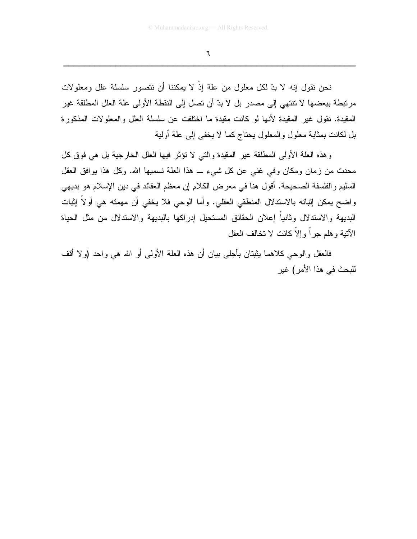$\mathbb{I}$ 

نحن نقول إنه لا بدِّ لكل معلول من علة إذْ لا يمكننا أن نتصور سلسلة علل ومعلولات مرتبطة ببعضها لا تنتهي إلى مصدر بل لا بدّ أن تصل إلى النقطة الأولى علة العلل المطلقة غير المقيدة. نقول غير المقيدة لأنها لو كانت مقيدة ما اختلفت عن سلسلة العلل والمعلولات المذكورة بل لكانت بمثابة معلول والمعلول يحتاج كما لا يخفى إلى علة أولية

وهذه العلة الأولى المطلقة غير المقيدة والتي لا نؤثر فيها العلل الخارجية بل هي فوق كل محدث من زمان ومكان وفي غني عن كل شيء \_ هذا العلة نسميها الله. وكل هذا يوافق العقل السليم والفلسفة الصحيحة. أقول هنا في معرض الكلام إن معظم العقائد في دين الإسلام هو بديهي واضح بمكن إثباته بالاستدلال المنطقي العقلي. وأما الوحي فلا يخفي أن مهمته هي أولاً إثبات البديهة والاستدلال وثانيا إعلان الحقائق المستحيل إدراكها بالبديهة والاستدلال من مثل الحياة الأتية وهلم جراً وإلاَّ كانت لا تخالف العقل

فالعقل والوحي كلاهما يثبتان بأجلي بيان أن هذه العلة الأولى أو الله هي واحد (ولا أقف للبحث في هذا الأمر ) غير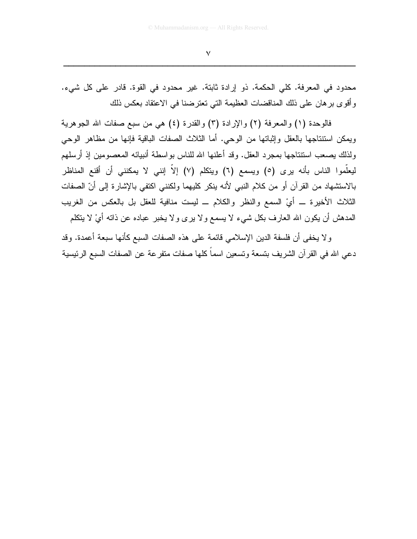محدود في المعرفة. كلي الحكمة. ذو إرادة ثابتة. غير محدود في القوة. قادر على كل شيء. وأقوى بر هان على ذلك المناقضات العظيمة التي تعترضنا في الاعتقاد بعكس ذلك

فالوحدة (١) والمعرفة (٢) والإرادة (٣) والقدرة (٤) هي من سبع صفات الله الجوهرية ويمكن استنتاجها بالعقل وإثباتها من الوحي. أما الثلاث الصفات الباقية فإنها من مظاهر الوحي ولذلك يصعب استتتاجها بمجرد العقل. وقد أعلنها الله للناس بواسطة أنبيائه المعصومين إذ أرسلهم ليعلَّموا الناس بأنه يرى (٥) ويسمع (٦) ويتكلَّم (٧) إلاَّ إنني لا يمكنني أن أقنع المناظر بالاستشهاد من القرآن أو من كلام النبي لأنه ينكر كليهما ولكنني اكتفى بالإشارة إلى أنّ الصفات الثلاث الأخيرة ـــ أيْ السمع والنظر والكلام ـــ ليست منافية للعقل بل بالعكس من الغريب المدهش أن يكون الله العارف بكل شيء لا يسمع ولا برى ولا يخبر عباده عن ذاته أيْ لا يتكلم

و لا يخفى أن فلسفة الدين الإسلامي قائمة على هذه الصفات السبع كأنها سبعة أعمدة. وقد دعي الله في القرآن الشريف بتسعة وتسعين اسماً كلها صفات متفرعة عن الصفات السبع الرئيسية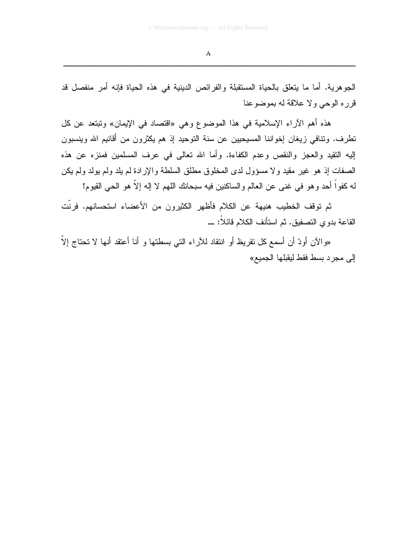الجوهرية. أما ما يتعلَّق بالحياة المستقبلة والفرائص الدينية في هذه الحياة فإنه أمر منفصل قد قرر ه الوحي و لا علاقة له بموضوعنا

هذه أهم الآراء الإسلامية في هذا الموضوع وهي «اقتصاد في الإيمان» وتبتعد عن كل نطرف. وننافي زيغان إخواننا المسيحيين عن سنة النوحيد إذ هم يكثرون من أقانيم الله وينسبون إليه النقيد والعجز والنقص وعدم الكفاءة. وأما الله نعالى في عرف المسلمين فمنزه عن هذه الصفات إذ هو غير مقيد ولا مسؤول لدى المخلوق مطلق السلطة والإرادة لم يلد ولم يولد ولم يكن لـه كفو اً أحد و هو فـي غنـى عن الـعالم والساكنين فيه سبحانك اللـهم لا إلـه إلاّ هو الـحـى القيوم!

ثم توقف الخطيب هنيهة عن الكلام فأظهر الكثيرون من الأعضاء استحسانهم. فرنّت القاعة بدوى التصفيق. ثم استأنف الكلام فائلاً: \_

«والآن أودّ أن أسمع كل تقريظ أو انتقاد للأراء التي بسطتها و أنا أعتقد أنها لا تحتاج إلاّ إلى مجرد بسط فقط ليقبلها الجميع»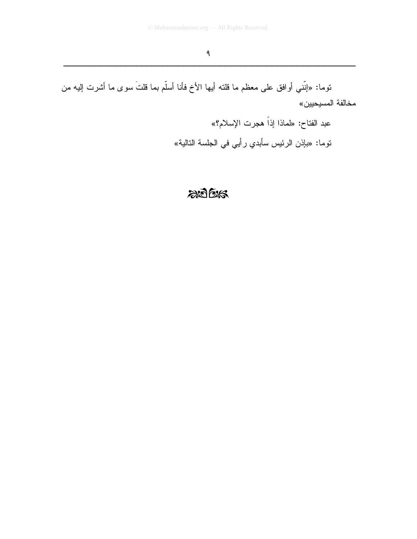توما: «إنَّني أوافق على معظم ما قلته أيها الأخ فأنا أسلَّم بما قلتَ سوى ما أشرت إليه من مخالفة المسيحيين»

> عبد الفتاح: «لماذا إذاً هجرت الإسلام؟» توما: «بإذن الرئيس سأبدي رأيي في الجلسة التالية»

### $205$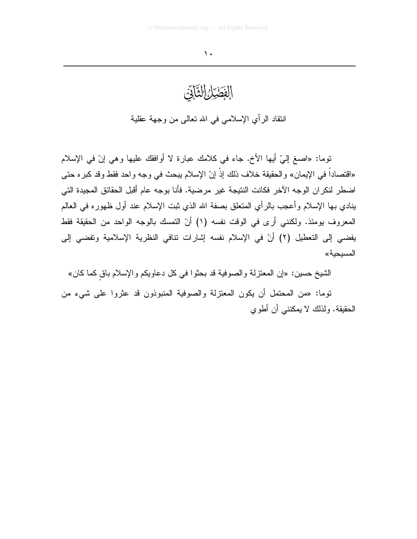### الفَصَيْلُ التَّابَيْنَ

انتقاد الرأي الإسلامي في الله نعالى من وجهة عقلية

نوما: «اصـغ إلـيّ أيـها الأخ. جاء فـي كـلامك عبارة لا أوافقك عليها وهي إنّ فـي الإسلام «اقتصاداً في الإيمان» والحقيقة خلاف ذلك إذْ إنّ الإسلام يبحث في وجه واحد فقط وقد كبره حتى اضطر لنكر ان الوجه الآخر فكانت النتيجة غير مرضية. فأنا بوجه عام أقبل الحقائق المجيدة التي بنادي بها الإسلام وأعجب بالرأى المتعلق بصفة الله الذي ثبت الإسلام عند أول ظهوره في العالم المعروف يومئذ. ولكنني أرى في الوقت نفسه (١) أنّ التمسك بالوجه الواحد من الحقيقة فقط يفضي إلى التعطيل (٢) أنّ في الإسلام نفسه إشارات نتافي النظرية الإسلامية وتفضي إلى المسبحبة»

الشيخ حسين: «إن المعتزلة والصوفية قد بحثوا في كل دعاويكم والإسلام باق كما كان»

توما: «من المحتمل أن يكون المعتزلة والصوفية المنبوذون قد عثروا على شيء من الحقيقة. ولذلك لا يمكنني أن أطوي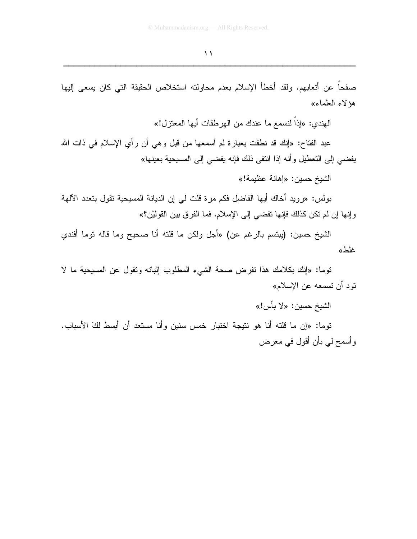صفحاً عن أتعابهم. ولقد أخطأ الإسلام بعدم محاولته استخلاص الحقيقة التي كان يسعى إليها هؤ لاء العلماء»

الهندي: «إذاً لنسمع ما عندك من الهر طقات أبها المعتز ل!»

عبد الفتاح: «إنك قد نطقت بعبارة لم أسمعها من قبل وهي أن رأي الإسلام في ذات الله يفضـي إلى التعطيل وأنـه إذا انتفى ذلك فإنـه يفضـي إلـى المسيحية بـعينـها»

الشيخ حسين: «إهانة عظيمة!»

بولس: «رويد أخاك أيها الفاضل فكم مرة قلت لي إن الديانة المسيحية تقول بتعدد الآلهة وإنها إن لم تكن كذلك فإنها تفضي إلى الإسلام. فما الفرق بين القوليْن؟»

الشيخ حسين: (يبتسم بالرغم عن) «أجل ولكن ما قلته أنا صحيح وما قاله توما أفندي غلط»

توما: «إنك بكلامك هذا نفرض صحة الشيء المطلوب إثباته ونقول عن المسيحية ما لا نود أن تسمعه عن الإسلام»

الشيخ حسين: «لا بأس!»

توما: «إن ما قلته أنا هو نتيجة اختبار خمس سنين وأنا مستعد أن أبسط لكَ الأسباب. وأسمح لمي بأن أقول في معرض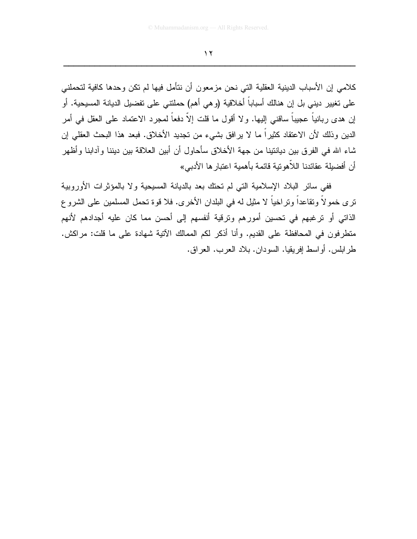كلامي إن الأسباب الدينية العقلية التي نحن مزمعون أن نتأمل فيها لم تكن وحدها كافية لتحملني على تغيير ديني بل إن هنالك أسباباً أخلاقية (و هي أهم) حملتني على تفضيل الديانة المسيحية. أو إن هدى ربانياً عجيباً ساقني إليها. ولا أقول ما قلت إلاّ دفعاً لمجرد الاعتماد على العقل في أمر الدين وذلك لأن الاعتقاد كثيراً ما لا يرافق بشيء من تجديد الأخلاق. فبعد هذا البحث العقلي إن شاء الله في الفرق بين ديانتينا من جهة الأخلاق سأحاول أن أبين العلاقة بين ديننا وآدابنا وأظهر أن أفضيلة عقائدنا اللاَّهوتية قائمة بأهمية اعتبار ها الأدبي»

ففي سائر البلاد الإسلامية التي لم تحتك بعد بالديانة المسيحية ولا بالمؤثرات الأوروبية ترى خمولاً وتقاعداً وتراخياً لا مثيل له في البلدان الأخرى. فلا قوة تحمل المسلمين على الشروع الذاتي أو ترغبهم في تحسين أمورهم وترقية أنفسهم إلى أحسن مما كان عليه أجدادهم لأنهم منطرفون في المحافظة على القديم. وأنا أذكر لكم الممالك الآنية شهادة على ما قلت: مراكش. طرابلس. أواسط إفريقيا. السودان. بلاد العرب. العراق.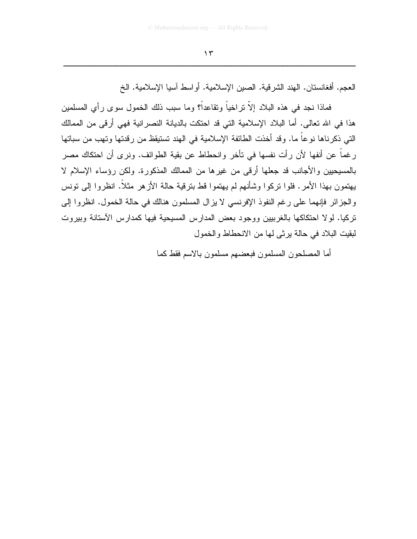العجم. أفغانستان. الهند الشر قية. الصين الإسلامية. أو اسط آسيا الإسلامية. الخ

فماذا نجد في هذه البلاد إلاّ نراخياً ونقاعداً؟ وما سبب ذلك الخمول سوى رأي المسلمين هذا في الله تعالى. أما البلاد الإسلامية التي قد احتكت بالديانة النصر انية فهي أر في من الممالك التي ذكرناها نوعاً ما. وقد أخذت الطائفة الإسلامية في الهند تستيقظ من رقدتها وتهب من سباتها رغماً عن أنفها لأن رأت نفسها في تأخر وانحطاط عن بقية الطوائف. ونرى أن احتكاك مصر بالمسيحيين والأجانب قد جعلها أرقى من غيرها من الممالك المذكورة. ولكن رؤساء الإسلام لا يهتمون بهذا الأمر. فلوا نركوا وشأنهم لم يهتموا قط بنرقية حالة الأزهر مثلاً. انظروا إلى نونس والجزائر فإنهما على رغم النفوذ الإفرنسي لا يزال المسلمون هنالك في حالة الخمول. انظروا إلى تركيا. لو لا احتكاكها بالغربيين ووجود بعض المدارس المسيحية فيها كمدارس الآستانة وبيروت لبقيت البلاد في حالة يرثى لها من الانحطاط والخمول

أما المصلحون المسلمون فبعضهم مسلمون بالاسم فقط كما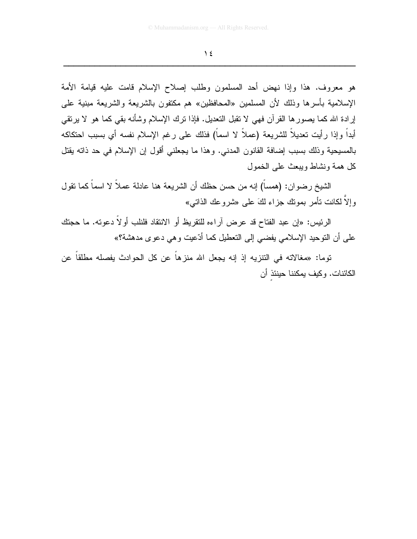هو معروف. هذا وإذا نهض أحد المسلمون وطلب إصلاح الإسلام قامت عليه قيامة الأمة الإسلامية بأسرها وذلك لأن المسلمين «المحافظين» هم مكتفون بالشريعة والشريعة مبنية على إرادة الله كما يصورها القرآن فهي لا نقبل النعديل. فإذا نرك الإسلام وشأنه بقي كما هو لا يرنقي أبداً وإذا رأيت تعديلاً للشريعة (عملاً لا اسماً) فذلك على رغم الإسلام نفسه أي بسبب احتكاكه بالمسيحية وذلك بسبب إضافة القانون المدني. وهذا ما يجعلني أقول إن الإسلام في حد ذاته يقتل كل همة ونشاط ويبعث على الخمول

الشيخ رضوان: (همساً) إنه من حسن حظك أن الشريعة هنا عادلة عملاً لا اسماً كما نقول وإلاَّ لكانت تأمر بمونك جزًّاء لكَ على «شروعك الذاتبي»

الرئيس: «إن عبد الفتاح قد عرض أراءه للتقريظ أو الانتقاد فلنلب أولاً دعوته. ما حجتك على أن التوحيد الإسلامي يفضي إلى التعطيل كما أدّعيت وهي دعوى مدهشة؟»

توما: «مغالاته في التنزيه إذ إنه يجعل الله منزهاً عن كل الحوادث يفصله مطلقاً عن الكائنات. وكيف بمكننا حينئذ أن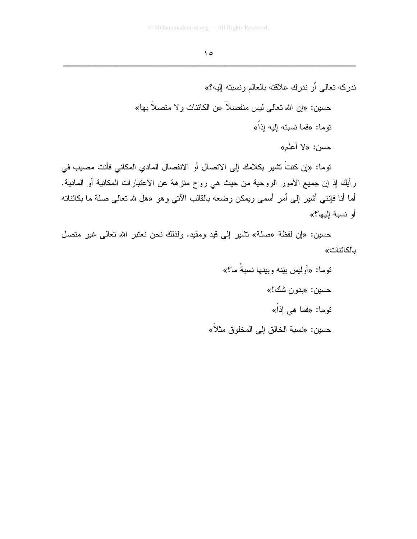ندركه تعالى أو ندرك علاقته بالعالم ونسبته إليه؟» حسين: «إن الله تعالى ليس منفصلاً عن الكائنات و لا متصلاً بـها» نوما: «فما نسبته الِيه اِذَاً» حسن: «لا أعلم» توما: «إن كنتَ تشير بكلامك إلى الاتصال أو الانفصال المادي المكاني فأنت مصبب في رأيك إذ إن جميع الأمور الروحية من حيث هي روح منزهة عن الاعتبارات المكانية أو المادية. أما أنا فإننـي أشير إلـي أمر أسمـي ويمكن وضعه بالقالب الآتـي وهو «هل لله نـعالـي صلـة ما بكائناتـه

أو نسبة البها؟»

حسين: «إن لفظة «صلة» تشير إلى قيد ومقيد. ولذلك نحن نعتبر الله تعالى غير متصل بالكائنات»

> نو ما: «أوليس بينه وبينها نسبةٌ ما؟» حسين: «بدون شك!» نوما: «فما هي إذاً» حسين: «نسبة الخالق إلى المخلوق مثلا»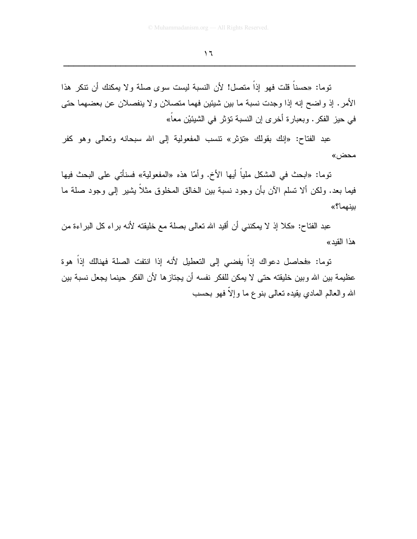توما: «حسناً قلت فهو إذاً متصل! لأن النسبة ليست سوى صلة و لا يمكنك أن نتكر هذا الأمر. إذ واضح إنه إذا وجدت نسبة ما بين شيئين فهما متصلان ولا ينفصلان عن بعضهما حتى في حيز الفكر . وبعبارة أخرى إن النسبة تؤثر في الشيئيْن معاً»

عبد الفتاح: «إنك بقولك «تؤثَّر» نتسب المفعولية إلى الله سبحانه وتعالى وهو كفر محض»

نوما: «ابحث في المشكل ملياً أيها الأخ. وأمّا هذه «المفعولية» فسنأتـي علـي البحث فيها فيما بعد. ولكن ألا تسلم الآن بأن وجود نسبة بين الخالق المخلوق مثلاً يشير إلىي وجود صلة ما بينهما؟»

عبد الفتاح: «كلا إذ لا يمكنني أن أقيد الله تعالى بصلة مع خليقته لأنه براء كل البراءة من هذا القيد»

توما: «فحاصل دعواك إذاً يفضي إلى التعطيل لأنه إذا انتفت الصلة فهنالك إذاً هوة عظيمة بين الله وبين خليقته حتى لا يمكن للفكر نفسه أن يجتازها لأن الفكر حينما يجعل نسبة بين الله والعالم المادي يقيده نعالمي بنوع ما وإلآ فهو بحسب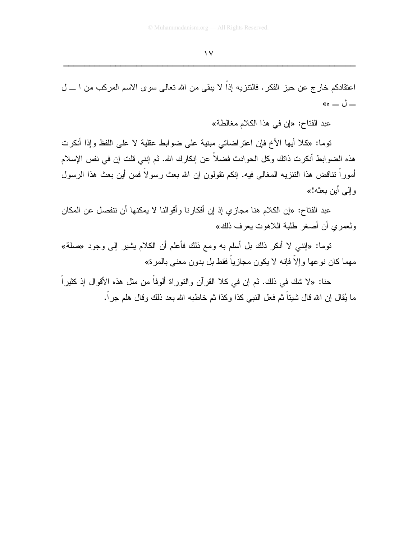اعتقادكم خار ج عن حيز الفكر . فالتنزيه إذاً لا يبقى من الله تعالى سوى الاسم المركب من ا ـــ ل  $\leftarrow$   $\cup$   $-$ 

عبد الفتاح: «إن في هذا الكلام مغالطة»

توما: «كلا أيها الأخ فإن اعتراضاتي مبنية على ضوابط عقلية لا على اللفظ وإذا أنكرت هذه الضوابط أنكرت ذاتك وكل الحوادث فضلاً عن إنكارك الله. ثم إننـي قلت إن فـي نفس الإسلام أموراً نتاقض هذا النتزيه المغالبي فيه. إنكم نقولون إن الله بعث رسولاً فمن أين بعث هذا الرسول وإلى أين بعثه!»

عبد الفتاح: «إن الكلام هنا مجازي إذ إن أفكارنا وأقوالنا لا يمكنها أن نتفصل عن المكان ولعمر ي أن أصغر طلبة اللاهوت بعرف ذلك»

نوما: «إنني لا أنكر ذلك بل أسلم به ومع ذلك فأعلم أن الكلام يشير إلى وجود «صلة» مهما كان نوعها وإلاَّ فإنه لا يكون مجازياً فقط بل بدون معنى بالمرة»

حنا: «لا شك في ذلك. ثم إن في كلا القرآن والنوراة ألوفًا من مثل هذه الأقوال إذ كثيراً ما يُقال إن الله قال شيئاً ثم فعل النبي كذا وكذا ثم خاطبه الله بعد ذلك وقال هلم جراً.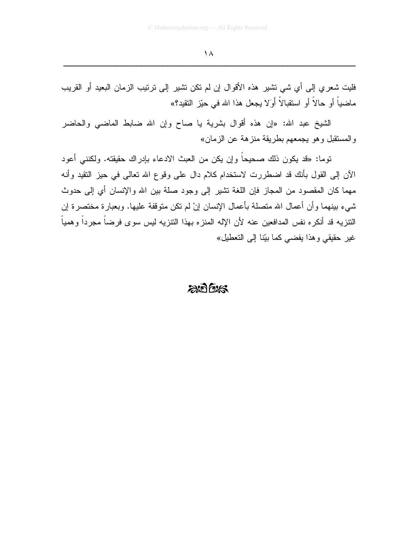فليت شعري إلى أي شي نشير هذه الأقوال إن لم نكن نشير إلى نرتيب الزمان البعيد أو القريب ماضياً أو حالاً أو استقبالاً أوَلا يجعل هذا الله في حيّز التقيد؟»

الشيخ عبد الله: «إن هذه أقوال بشرية يا صاح وإن الله ضابط الماضيي والحاضر والمستقبل وهو يجمعهم بطريقة منزهة عن الزمان»

توما: «قد يكون ذلك صحيحاً وإن يكن من العبث الادعاء بإدراك حقيقته. ولكنني أعود الآن إلى القول بأنك قد اضطررت لاستخدام كلام دال على وقوع الله تعالى في حيز النقيد وأنه مهما كان المقصود من المجاز فإن اللغة تشير إلى وجود صلة بين الله والإنسان أي إلى حدوث شيء بينهما وأن أعمال الله متصلة بأعمال الإنسان إنْ لم نكن متوقفة عليها. وبعبارة مختصرة إن النتزيه قد أنكره نفس المدافعين عنه لأن الإله المنزه بهذا النتزيه ليس سوى فرضىاً مجرداً وهمياً غير حقيقي وهذا يفضي كما بيّنا إلى التعطيل»

### $\approx$  616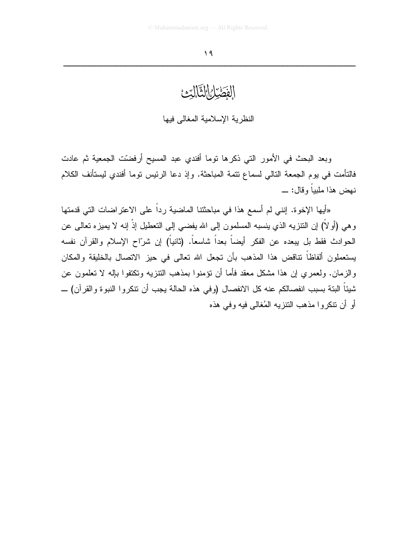## الفَصَيْلُواالثَّالَيْتُ

النظرية الإسلامية المغالي فيها

وبعد البحث في الأمور التي ذكرها توما أفندي عبد المسيح أرفضّت الجمعية ثم عادت فالتأمت في يوم الجمعة النالي لسماع نتمة المباحثة. وإذ دعا الرئيس نوما أفندي ليستأنف الكلام نـهض هذا ملبياً وقال: \_

«أيها الإخوة. إنني لم أسمع هذا في مباحثتنا الماضية رداً على الاعتراضات التي قدمتها وهي (أو لاً) إن النتزيه الذي ينسبه المسلمون إلى الله يفضي إلى النعطيل إذْ إنه لا يميزه نعالـي عن الحوادث فقط بل يبعده عن الفكر أيضاً بعداً شاسعاً. (ثانياً) إن شرّاح الإسلام والقرآن نفسه يستعملون ألفاظاً نتاقض هذا المذهب بأن تجعل الله تعالى في حيز الاتصال بالخليقة والمكان والزمان. ولعمري ان هذا مشكل معقد فأما أن نؤمنوا بمذهب النتزيه ونكتفوا بإله لا نعلمون عن شيئاً البتة بسبب انفصالكم عنه كل الانفصال (وفي هذه الحالة يجب أن تتكروا النبوة والقرآن) \_ أو أن نتكروا مذهب التنزيه المُغالبي فيه وفي هذه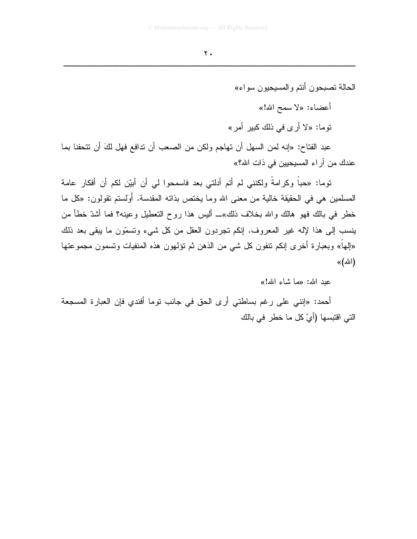الحالة تصبحون أنتم و المسيحيون سو اء» أعضاء: «لا سمح الله!» توما: «لا أر ي في ذلك كبير أمر »

عبد الفتاح: «إنه لمن السهل أن تهاجم ولكن من الصعب أن تدافع فهل لكَ أن تتحفنا بما عندك من آراء المسيحيين في ذات الله؟»

توما: «حباً وكرامةً ولكنني لم أتم أدلتي بعد فاسمحوا لي أن أبيّن لكم أن أفكار عامة المسلمين هي في الحقيقة خالية من معنى الله وما يختص بذاته المقدسة. أَوَلِستم تقولون: «كل ما خطر في بالك فهو هالك والله بخلاف ذلك»ــ أليس هذا روح التعطيل وعينه؟ فما أشدّ خطأ من ينسب إلى هذا لإله غير المعروف. إنكم تجردون العقل من كل شيء وتسمَّون ما يبقى بعد ذلك «إليهاً» وبعبارة أخرى إنكم تنفون كل شي من الذهن ثم تؤلمهون هذه المنفيات وتسمون مجموعتها (الله)»

عد الله: «ما شاء الله!»

أحمد: «إنني على رغم بساطتي أرى الحق في جانب نوما أفندي فإن العبارة المسجعة التي اقتبسها (أيْ كل ما خطر في بالك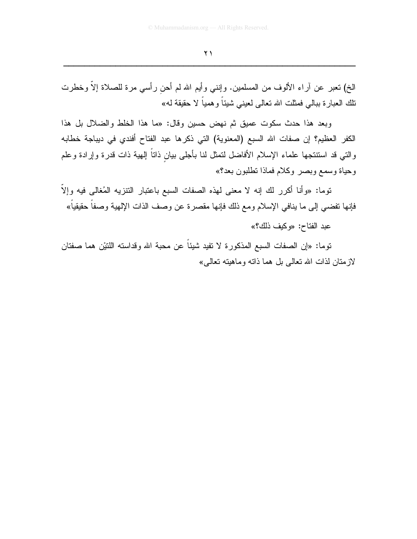الخ) نعبر عن أراء الألوف من المسلمين. وإننـي وأيم الله لم أحن رأسي مرة للصـلاة إلاّ وخطرت نلك العبارة ببالـي فمثلت الله تعالـي لـعينـي شينـًا و هميـًا لا حقيقة لـه»

وبعد هذا حدث سكوت عميق ثم نهض حسين وقال: «ما هذا الخلط والضلال بل هذا الكفر العظيم؟ إن صفات الله السبع (المعنوية) التي ذكرها عبد الفتاح أفندي في ديباجة خطابه والنتي قد استنتجها علماء الإسلام الأفاضل لتمثل لنا بأجلى بيان ذاتاً إلهية ذات قدرة وإرادة وعلم وحياة وسمع وبصر وكلام فماذا تطلبون بعد؟»

توما: «وأنا أكرر لك إنه لا معنى لهذه الصفات السبع باعتبار التنزيه المُغالى فيه وإلاّ فإنها نفضي إلى ما ينافي الإسلام ومع ذلك فإنها مقصرة عن وصف الذات الإلهية وصفا حقيقيا»

عبد الفتاح: «وكيف ذلك؟»

توما: «إن الصفات السبع المذكورة لا تفيد شيئًا عن محبة الله وقداسته اللتيْن هما صفتان لازمتان لذات الله تعالى بل هما ذاته وماهيته تعالى»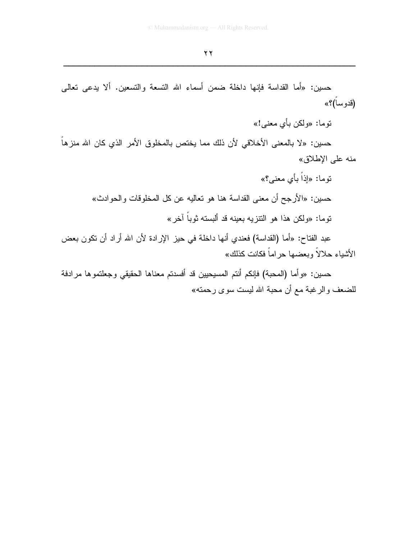حسين: «أما القداسة فإنها داخلة ضمن أسماء الله التسعة والتسعين. ألا يدعى تعالى (قدوساً)؟» توما: «ولكن بأي معنى!» حسين: «لا بالمعنى الأخلاقي لأن ذلك مما يختص بالمخلوق الأمر الذي كان الله منزهاً منه على الإطلاق» نوما: «إذاً بأي معنى؟» حسين: «الأرجح أن معنى القداسة هنا هو تعاليه عن كل المخلوقات والحوادث» نوما: «ولكن هذا هو النتزيه بعينه قد ألبسته ثوباً آخر» عبد الفتاح: «أما (القداسة) فعندي أنها داخلة في حيز الإرادة لأن الله أراد أن نكون بعض الأشياء حلالاً وبعضها حراماً فكانت كذلك»

حسين: «وأما (المحبة) فإنكم أنتم المسيحيين قد أفسدتم معناها الحقيقي وجعلتموها مرادفة للضعف والرغبة مع أن محبة الله ليست سوى رحمته»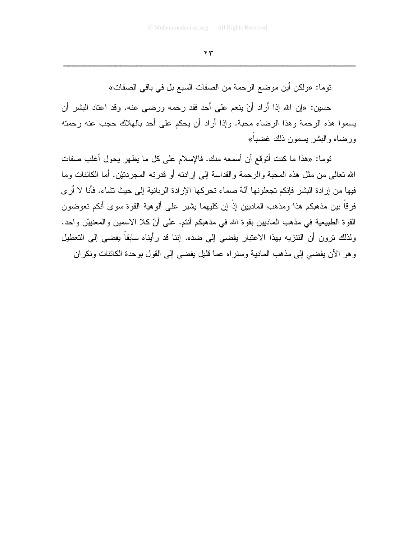توما: «ولكن أين موضع الرحمة من الصفات السبع بل في باقي الصفات»

حسين: «إن الله إذا أراد أنْ ينعم على أحد فقد رحمه ورضـي عنه. وقد اعتاد البشر أن يسموا هذه الرحمة وهذا الرضاء محبة. وإذا أراد أن يحكم على أحد بالهلاك حجب عنه رحمته ور ضياه والبشر بسمون ذلك غضباً»

توما: «هذا ما كنت أتوقع أن أسمعه منك. فالإسلام على كل ما يظهر يحول أغلب صفات الله تعالى من مثل هذه المحبة والرحمة والقداسة إلى إرادته أو قدرته المجردتيْن. أما الكائنات وما فيها من إرادة البشر فإنكم تجعلونها آلة صماء تحركها الإرادة الربانية إلى حيث تشاء. فأنا لا أرى فرِ قاً بين مذهبكم هذا ومذهب الماديين إذْ إن كليهما يشير ٍ على ألو هية القوة سوءٍ أنكم تعوضون القوة الطبيعية في مذهب الماديين بقوة الله في مذهبكم أنتم. على أنّ كلا الاسمين والمعنييْن واحد. ولذلك نرون أن النتزيه بهذا الاعتبار يفضي إلى ضده. إننا قد رأيناه سابقاً يفضي إلى التعطيل وهو الآن يفضيي إلى مذهب المادية وسنراه عما قليل يفضي إلى القول بوحدة الكائنات ونكران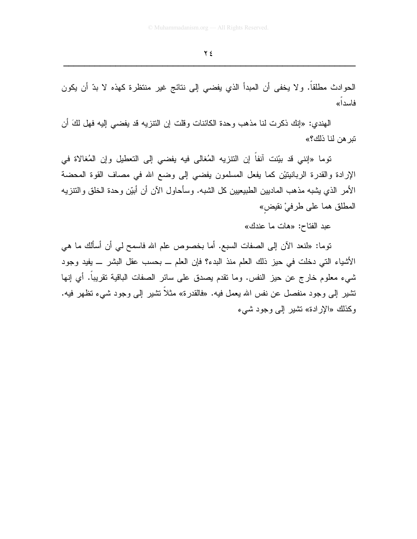الحوادث مطلقاً. ولا يخفى أن المبدأ الذي يفضي إلى نتائج غير منتظرة كهذه لا بدّ أن يكون فاسدا»

المهندي: «إنك ذكر ت لنا مذهب وحدة الكائنات وقلت إن النتزيه قد يفضي إليه فهل لكَ أن تبر هن لنا ذلك؟»

توما «إنني قد بيّنت آنفاً إن النتزيه المُغالي فيه يفضي إلى التعطيل وإن المُغالاة في الإرادة والقدرة الربانيتيْن كما يفعل المسلمون يفضيي إلىي وضع الله في مصاف القوة المحضة الأمر الذي يشبه مذهب الماديين الطبيعيين كل الشبه. وسأحاول الآن أن أبيّن وحدة الخلق والنتزيه المطلق هما على طرفيْ نقبِض»

عبد الفتاح: «هات ما عندك»

نوما: «لنعد الآن إلى الصفات السبع. أما بخصوص علم الله فاسمح لي أن أسألك ما هي الأشياء التي دخلت في حيز ذلك العلم منذ البدء؟ فإن العلم \_ بحسب عقل البشر \_ يفيد وجود شيء معلوم خارج عن حيز النفس. وما نقدم بصدق على سائر الصفات الباقية نقريبا. أي إنها نتثبير إلى وجود منفصل عن نفس الله يعمل فيه. «فالقدرة» مثلاً نتثبير إلى وجود شيء نظهر فيه. وكذلك «الإرادة» نشير إلى وجود شيء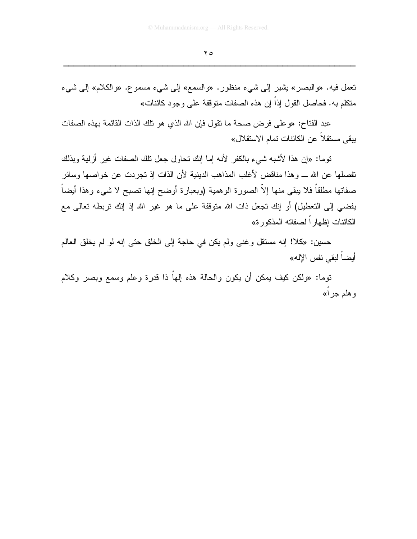نعمل فيه. «والبصر» بشير إلى شيء منظور. «والسمع» إلى شيء مسموع. «والكلام» إلى شيء متكلم به. فحاصل القول إذاً إن هذه الصفات متوقفة على وجود كائنات»

عبد الفتاح: «و على فر ض صحة ما نقول فإن الله الذي هو تلك الذات القائمة بهذه الصفات يبقى مستقلا عن الكائنات تمام الاستقلال»

نوما: «إن هذا لأشبه شيء بالكفر لأنه إما إنك نحاول جعل نلك الصفات غير أزلية وبذلك تفصلها عن الله ـــ وهذا مناقض لأغلب المذاهب الدينية لأن الذات إذ تجردت عن خواصها وسائر صفاتها مطلقاً فلا يبقى منها إلاّ الصورة الوهمية (وبعبارة أوضح إنها نصبح لا شيء وهذا أيضاً يفضي إلى التعطيل) أو إنك تجعل ذات الله متوقفة على ما هو غير الله إذ إنك نربطه نعالى مع الكائنات إظهار اً لصفاته المذكور ة»

حسين: «كلا! إنه مستقل وغني ولم يكن في حاجة إلى الخلق حتى إنه لو لم يخلق العالم أيضاً لبقي نفس الإله»

توما: «ولكن كيف بمكن أن يكون والحالة هذه إلهاً ذا قدرة وعلم وسمع وبصر وكلام و هلم جر أ»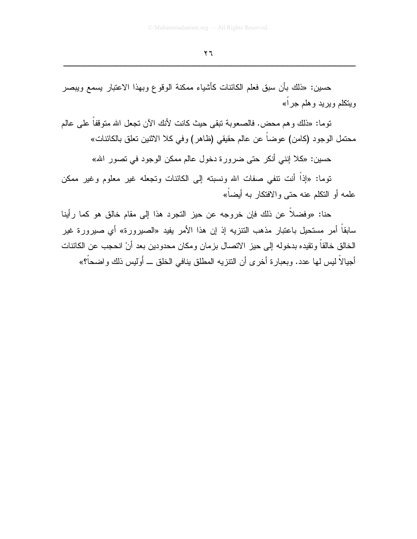حسين: «ذلك بأن سبق فعلم الكائنات كأشياء ممكنة الوقوع وبهذا الاعتبار يسمع ويبصر ويتكلم ويريد وهلم جراً»

توما: «ذلك و هم محض. فالصعوبة تبقى حيث كانت لأنك الآن تجعل الله متوقفاً على عالم محتمل الوجود (كامن) عوضا عن عالم حقيقى (ظاهر) وفي كلا الاثنين تعلق بالكائنات»

حسين: «كلا إنني أنكر حتى ضرورة دخول عالم ممكن الوجود في تصور الله»

توما: «إذاً أنت نتفي صفات الله ونسبته إلى الكائنات وتجعله غير معلوم وغير ممكن علمه أو النكلم عنه حتى والافتكار به أبضاً»

حنا: «وفضلاً عن ذلك فإن خروجه عن حيز التجرد هذا إلى مقام خالق هو كما رأينا سابقاً أمر مستحيل باعتبار مذهب التنزيه إذ إن هذا الأمر يفيد «الصبيرورة» أي صبيرورة غير الخالق خالقاً وتقيده بدخوله إلى حيز الاتصال بزمان ومكان محدودين بعد أنْ انحجب عن الكائنات أجيالاً ليس لها عدد. وبعبارة أخرى أن التنزيه المطلق بنافي الخلق ـــ أَوليس ذلك واضحاً؟»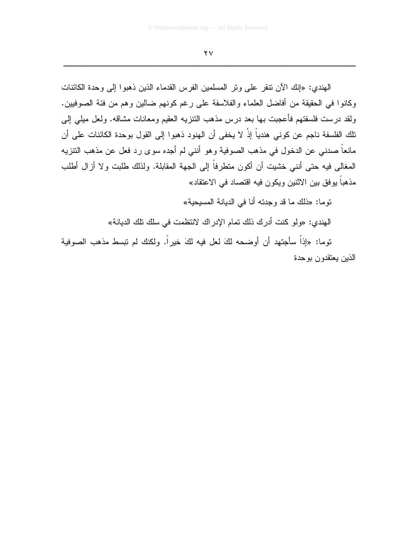المهندي: «إنك الآن نتقر على ونر المسلمين الفرس القدماء الذين ذهبوا إلى وحدة الكائنات وكانوا في الحقيقة من أفاضل العلماء والفلاسفة على رغم كونهم ضالين وهم من فئة الصوفيين. ولقد درست فلسفتهم فأعجبت بها بعد درس مذهب النتزيه العقيم ومعانات مشاقه. ولعل ميلي إلىي تلك الفلسفة ناجم عن كوني هندياً إذْ لا يخفي أن الهنود ذهبوا إلى القول بوحدة الكائنات على أن مانعاً صدنـى عن الدخول فـى مذهب الصوفية وهو أننـى لم أجده سوى رد فعل عن مذهب النتزيه المغالبي فيه حتى أننبي خشيت أن أكون متطرفاً إلى الجهة المقابلة. ولذلك طلبت ولا أزال أطلب مذهباً يوفق بين الاثنين ويكون فيه اقتصاد في الاعتقاد»

توما: «ذلك ما قد وجدته أنا في الدبانة المسبحبة»

الهندي: «ولو كنت أدرك ذلك تمام الإدراك لانتظمت في سلك تلك الديانة»

توما: «إذاً سأجتهد أن أوضحه لكَ لعل فيه لكَ خيراً. ولكنك لم تبسط مذهب الصوفية الذين يعتقدون بوحدة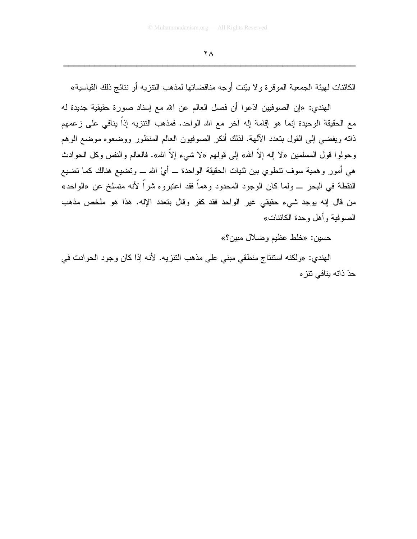الكائنات لهيئة الجمعية الموقرة ولا بيّنت أوجه مناقضاتها لمذهب النتزيه أو نتائج ذلك القياسية»

الهندي: «إن الصوفيين ادِّعوا أن فصل العالم عن الله مع إسناد صورة حقيقية جديدة له مع الحقيقة الوحيدة إنما هو إقامة إله آخر مع الله الواحد. فمذهب النتزيه إذاً ينافي على زعمهم ذاته ويفضيي إلىي القول بتعدد الألهة. لذلك أنكر الصوفيون العالم المنظور ووضعوه موضع الوهم وحولوا قول المسلمين «لا إله إلاَّ الله» إلى قولهم «لا شيء إلاَّ الله». فالعالم والنفس وكل الحوادث هي أمور وهمية سوف نتطوي بين ثنيات الحقيقة الواحدة ـــ أيْ الله ـــ وتضيع هنالك كما نضيع النقطة في البحر \_ ولما كان الوجود المحدود وهماً فقد اعتبروه شراً لأنه منسلخ عن «الواحد» من قال إنه يوجد شيء حقيقي غير الواحد فقد كفر وقال بتعدد الإله. هذا هو ملخص مذهب الصوفية و أهل و حدة الكائنات»

حسين: «خلط عظيم وضلال مبين؟»

الهندي: «ولكنه استتتاج منطقي مبني على مذهب النتزيه. لأنه إذا كان وجود الحوادث في حدّ ذاته ينافي نتز ه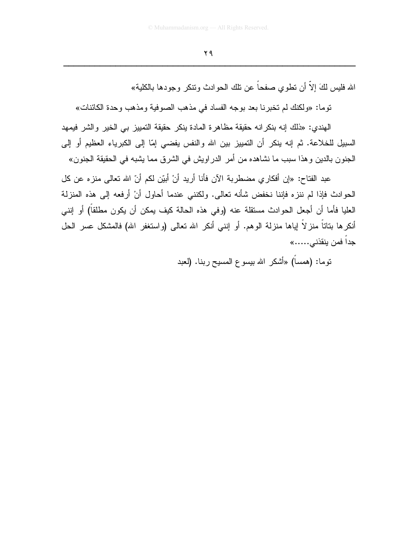الله فليس لكَ إلاَّ أن تطوى صفحاً عن تلك الحو ادث وتتكر وجودها بالكلية»

توما: «ولكنك لم تخبرنا بعد بوجه الفساد في مذهب الصوفية ومذهب وحدة الكائنات»

الْهِندي: «ذلك إنه بنكر انه حقيقة مظاهر ة المادة بِنكر حقيقة التمبيز بي الخير والشر فيمهد السبيل للخلاعة. ثم إنه ينكر أن التمييز بين الله والنفس يفضي إمّا إلى الكبرياء العظيم أو إلى الجنون بالدين وهذا سبب ما نشاهده من أمر الدراويش في الشرق مما يشبه في الحقيقة الجنون»

عبد الفتاح: «إن أفكاري مضطربة الآن فأنا أريد أنْ أبيّن لكم أنّ الله تعالى منزه عن كل الحوادث فإذا لم ننز ه فإننا نخفض شأنه تعالى. ولكنني عندما أحاول أنْ أرفعه إلى هذه المنزلة العليا فأما أن أجعل الحوادث مستقلة عنه (وفي هذه الحالة كيف يمكن أن يكون مطلقاً) أو إنني أنكرها بناتاً منز لاً إياها منزلة الوهم. أو إنني أنكر الله تعالى (واستغفر الله) فالمشكل عسر الحل جدا فمن ينقذني......»

نوما: (همساً) «أشكر الله بيسوع المسيح ربنا. (لعبد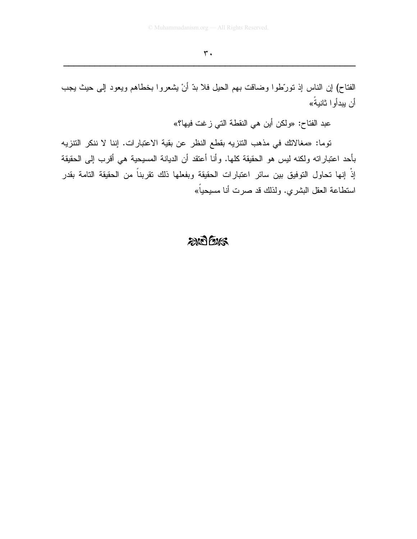الفتاح) إن الناس إذ نورٌطوا وضافت بهم الحيل فلا بدَّ أنْ يشعروا بخطاهم ويعود إلى حيث يجب أن يبدأوا ثانيةً»

عبد الفتاح: «ولكن أين هي النقطة التي زغت فيها؟»

توما: «مغالاتك في مذهب التنزيه بقطع النظر عن بقية الاعتبارات. إننا لا ننكر التنزيه بأحد اعتباراته ولكنه ليس هو الحقيقة كلها. وأنا أعتقد أن الديانة المسيحية هي أقرب إلى الحقيقة إِذْ إنها تحاول التوفيق بين سائر اعتبارات الحقيقة وبفعلها ذلك تقربناً من الحقيقة التامة بقدر استطاعة العقل البشري. ولذلك قد صرت أنا مسيحياً»

#### 2005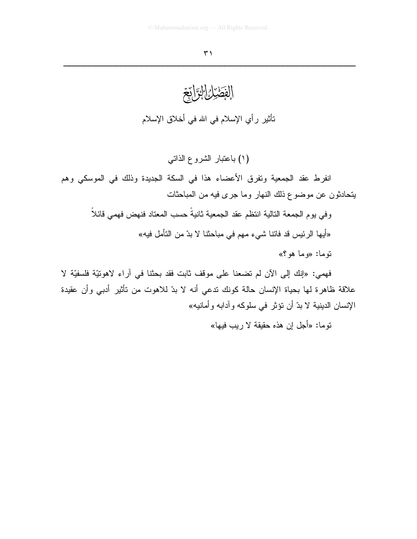#### $\uparrow$

الفَصَّدْنَ الْقِيَانِيَّ نَأْثِيرٍ رأي الإسلام في الله في أخلاق الإسلام

(١) باعتبار الشروع الذاتبي

انفرط عقد الجمعية وتفرق الأعضاء هذا في السكة الجديدة وذلك في الموسكي وهم يتحادثون عن موضوع ذلك النهار وما جرى فيه من المباحثات

وفي بوم الجمعة التالية انتظم عقد الجمعية ثانيةً حسب المعتاد فنهض فهمي قائلاً

«أيها الرئيس قد فاتنا شيء مهم في مباحثنا لا بدّ من التأمل فيه»

نوما: «وما هو ؟»

فهمي: «إنك إلى الآن لم تضعنا على موقف ثابت فقد بحثنا في آراء لاهونيّة فلسفيّة لا علاقة ظاهرة لـها بـحياة الإنسان حالـة كونك تدعي أنـه لا بدّ للاهوت من تأثير أدبـي وأن عقيدة الإنسان الدينية لا بدّ أن نؤثر في سلوكه وآدابه وأمانيه»

توما: «أجل إن هذه حقيقة لا ريب فيها»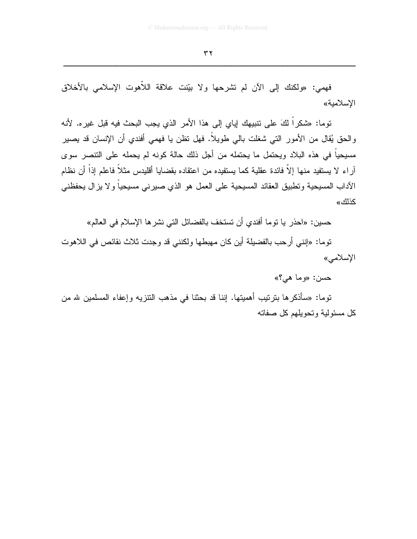فهمي: «ولكنك إلى الأن لم تشرحها ولا بيّنت علاقة اللاّهوت الإسلامي بالأخلاق الاسلامية»

توما: «شكراً لكَ على تتبيهك إياى إلى هذا الأمر الذي يجب البحث فيه قبل غير ه. لأنه والحق يُقال من الأمور التي شغلت بالي طويلاً. فهل نظن يا فهمي أفندي أن الإنسان قد يصير مسيحياً في هذه البلاد ويحتمل ما يحتمله من أجل ذلك حالة كونه لم يحمله على التنصر سوى آر اء لا يستفيد منها إلاّ فائدة عقلية كما يستفيده من اعتقاده بقضايا أقليدس مثلاً فاعلم إذاً أن نظام الآداب المسيحية وتطبيق العقائد المسيحية على العمل هو الذي صبرني مسيحيا ولا بزال يحفظني كذلك»

حسين: «احذر يا نوما أفندي أن تستخف بالفضائل التي نشر ها الإسلام في العالم»

نوما: «إنني أرحب بالفضيلة أين كان مهبطها ولكنني قد وجدت ثلاث نقائص في اللاهوت الإسلامي»

 $\langle \langle \cdot \rangle$ جسن: «وما هي

توما: «سأذكرها بترتيب أهميتها. إننا قد بحثنا في مذهب التنزيه وإعفاء المسلمين لله من كل مسئولية وتحويلهم كل صفاته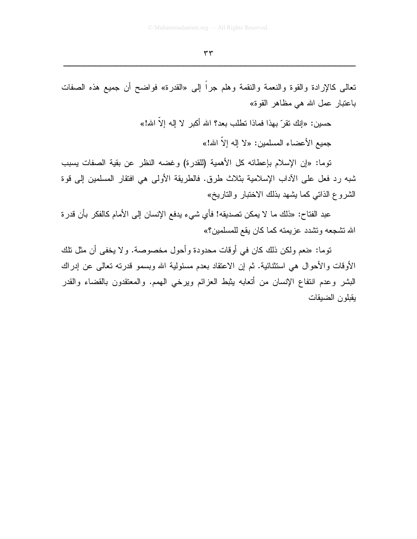تعالى كالإرادة والقوة والنعمة والنقمة وهلم جراً إلى «القدرة» فواضح أن جميع هذه الصفات باعتبار عمل الله هي مظاهر القوة»

حسين: «إنك تقرّ بهذا فماذا تطلب بعد؟ الله أكبر لا إله إلاّ الله!»

جميع الأعضاء المسلمين: «لا إله إلاَّ الله!»

توما: «إن الإسلام بإعطائه كل الأهمية (للقدرة) وغضه النظر عن بقية الصفات يسبب شبه رد فعل على الآداب الإسلامية بثلاث طرق. فالطريقة الأولى هي افتقار المسلمين إلى فوة الشروع الذاتي كما يشهد بذلك الاختبار والتاريخ»

عبد الفتاح: «ذلك ما لا يمكن تصديقه! فأي شيء يدفع الإنسان إلى الأمام كالفكر بأن قدر ة الله نشجعه ونشدد عزيمته كما كان يقع للمسلمين؟»

توما: «نعم ولكن ذلك كان في أوقات محدودة وأحول مخصوصة. ولا يخفي أن مثل تلك الأوقات والأحوال هي استثنائية. ثم إن الاعتقاد بعدم مسئولية الله وبسمو قدرته تعالى عن إدراك البشر وعدم انتفاع الإنسان من أتعابه بثبط العزائم ويرخى الهمم. والمعتقدون بالقضاء والقدر بقبلون الضبقات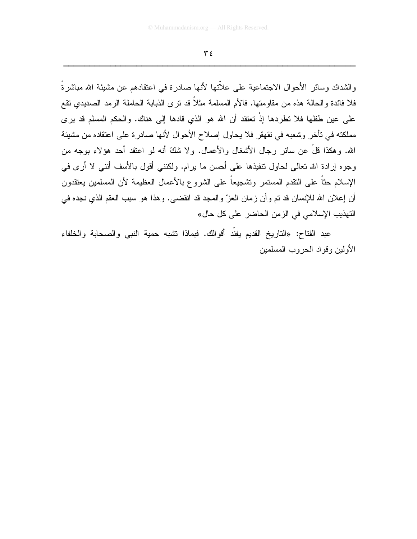و الشدائد وسائر الأحو ال الاجتماعية على علاّتها لأنها صادر ة في اعتقادهم عن مشيئة الله مباشر ةُ فلا فائدة والحالة هذه من مقاومتها. فالأم المسلمة مثلاً قد نرى الذبابة الحاملة الرمد الصديدي نقع على عين طفلها فلا تطردها إذْ تعتقد أن الله هو الذي قادها إلى هناك. والحكم المسلم قد برى مملكته في تأخر وشعبه في تقهقر فلا يحاول إصلاح الأحوال لأنها صادرة على اعتقاده من مشيئة الله. وهكذا قلْ عن سائر رجال الأشغال والأعمال. ولا شكَّ أنه لو اعتقد أحد هؤلاء بوجه من وجوه إرادة الله تعالى لحاول تنفيذها على أحسن ما يرام. ولكنني أقول بالأسف أنني لا أرى في الإسلام حثاً على التقدم المستمر وتشجيعاً على الشروع بالأعمال العظيمة لأن المسلمين يعتقدون أن إعلان الله للإنسان قد تم وأن زمان العزّ والمجد قد انقضـي. وهذا هو سبب العقم الذي نجده في التهذيب الإسلامي في الزمن الحاضر على كل حال»

عبد الفتاح: «التاريخ القديم يفنَّد أقوالك. فبماذا تشبه حمية النبي والصحابة والخلفاء الأولين وفواد الحروب المسلمين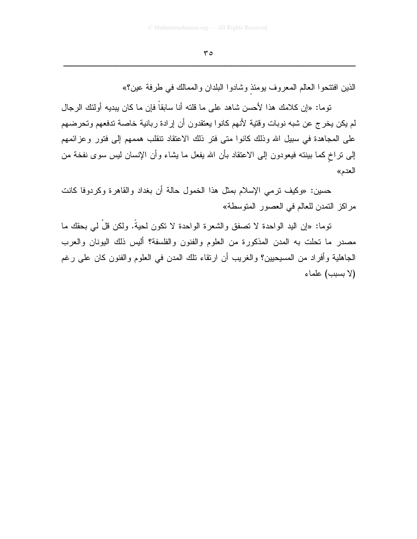الذين افتتحوا العالم المعروف يومئذ وشادوا البلدان والممالك في طرفة عين؟»

توما: «إن كلامك هذا لأحسن شاهد على ما قلته أنا سابقاً فإن ما كان يبديه أولئك الرجال لم يكن يخرج عن شبه نوبات وقتية لأنهم كانوا يعتقدون أن إرادة ربانية خاصة تدفعهم وتحرضهم على المجاهدة في سبيل الله وذلك كانوا متى فتر ذلك الاعتقاد نتقلب هممهم إلى فتور وعزائمهم إلى نراخ كما ببنته فيعودون إلى الاعتقاد بأن الله يفعل ما يشاء وأن الإنسان ليس سوى نفخة من العدم»

حسين: «وكيف نرمي الإسلام بمثل هذا الخمول حالة أن بغداد والقاهرة وكردوفا كانت مراكز التمدن للعالم في العصور المتوسطة»

توما: «إن اليد الواحدة لا نصفق والشعرة الواحدة لا نكون لحيةً. ولكن قلْ ل<sub>ى</sub> بحقك ما مصدر ما تحلت به المدن المذكورة من العلوم والفنون والفلسفة؟ أليس ذلك اليونان والعرب الجاهلية وأفراد من المسيحيين؟ والغريب أن ارتقاء نلك المدن في العلوم والفنون كان على رغم (لا بسبب) علماء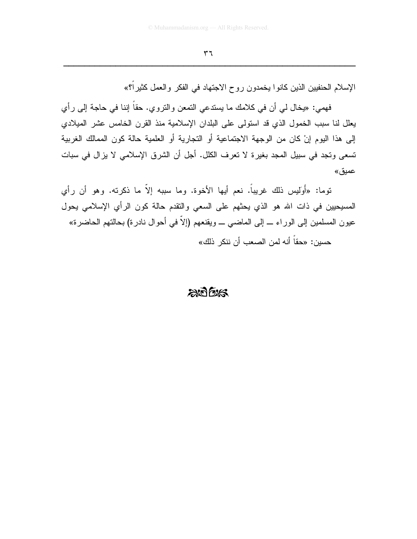الإسلام الحنفيين الذين كانوا يخمدون روح الاجتهاد في الفكر والعمل كثير<sup>6</sup>؟»

فهمي: «يخال لبي أن في كلامك ما يستدعى التمعن والتروي. حقاً إننا في حاجة إلى رأى يعلل لنا سبب الخمول الذي قد استولى على البلدان الإسلامية منذ القرن الخامس عشر الميلادي إلى هذا اليوم إنْ كان من الوجهة الاجتماعية أو التجارية أو العلمية حالة كون الممالك الغربية تسعى وتجد في سبيل المجد بغيرة لا تعرف الكلل. أجل أن الشرق الإسلامي لا يزال في سبات عميق»

توما: «أَوليس ذلك غريباً. نعم أيها الأخوة. وما سببه إلاّ ما ذكرته. وهو أن رأى المسيحيين في ذات الله هو الذي يحثهم على السعى والتقدم حالة كون الرأي الإسلامي يحول عيون المسلمين إلى الوراء ـــ إلى الماضـي ـــ ويقنعهم (إلاّ في أحوال نادرة) بـحالتهم الـحاضرة»

حسين: «حقاً أنه لمن الصعب أن ننكر ذلك»

## $2075/5$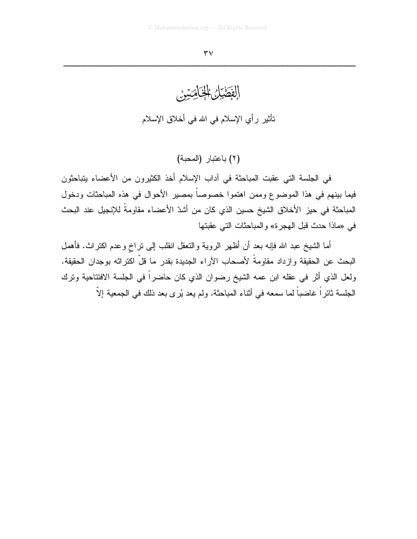### $\mathbf{r} \mathbf{v}$

الفَطَيْلُ الْخَاضِيَنْ نَأْثِيرٍ رأي الإسلام في الله في أخلاق الإسلام

(٢) باعتبار (المحبة)

في الجلسة التي عقبت المباحثة في أداب الإسلام أخذ الكثيرون من الأعضاء يتباحثون فيما بينهم في هذا الموضوع وممن اهتموا خصوصاً بمصير الأحوال في هذه المباحثات ودخول المباحثة في حيز الأخلاق الشيخ حسين الذي كان من أشدّ الأعضاء مقاومةً للإنجيل عند البحث في «ماذا حدث قبل الهجرة» والمباحثات التي عقبتها

أما الشيخ عبد الله فإنه بعد أن أظهر الروية والنعقل انقلب إلى نراخ وعدم اكتراث. فأهمل البحث عن الحقيقة وازداد مقاومةً لأصحاب الآراء الجديدة بقدر ما قلَّ اكتراثه بوجدان الحقيقة. ولعل الذي أثر في عقله ابن عمه الشيخ رضوان الذي كان حاضراً في الجلسة الافتتاحية ونرك الجلسة ثائراً غاضباً لما سمعه في أثناء المباحثة. ولم يعد يُرى بعد ذلك في الجمعية إلاّ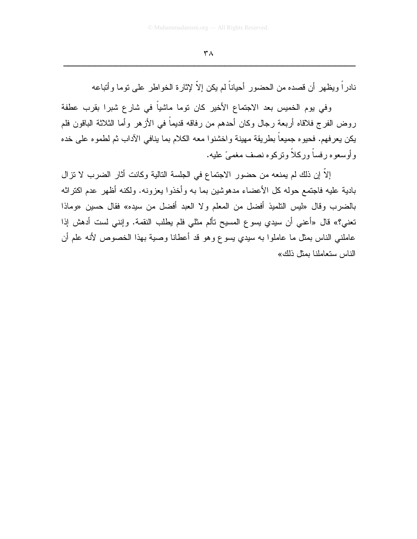نادراً ويظهر أن قصده من الحضور أحياناً لم يكن إلاّ لإثارة الخواطر على نوما وأتباعه

وفي يوم الخميس بعد الاجتماع الأخير كان توما ماشياً في شارع شبرا بقرب عطفة روض الفرج فلاقاه أربعة رجال وكان أحدهم من رفاقه قديماً في الأزهر وأما الثلاثة الباقون فلم يكن يعرفهم. فحيوه جميعاً بطريقة مهينة واخشنوا معه الكلام بما ينافي الأداب ثم لطموه على خده و أوسعو ه ر فساً و ركلاً و نركو ه نصف مغمے ً عليه.

إلاَّ إن ذلك لم يمنعه من حضور الاجتماع في الجلسة التالية وكانت أثار الضرب لا نزال بادية عليه فاجتمع حوله كل الأعضاء مدهوشين بما به وأخذوا يعزونه. ولكنه أظهر عدم اكتراثه بالضرب وقال «ليس التلميذ أفضل من المعلم ولا العبد أفضل من سيده» فقال حسين «وماذا تعني؟» قال «أعني أن سيدي يسوع المسيح تألم مثلي فلم يطلب النقمة. وإنني لست أدهش إذا عاملنـي الناس بمثل ما عاملوا به سيدي يسوع وهو قد أعطانا وصية بهذا الخصوص لأنه علم أن الناس ستعاملنا بمثل ذلك»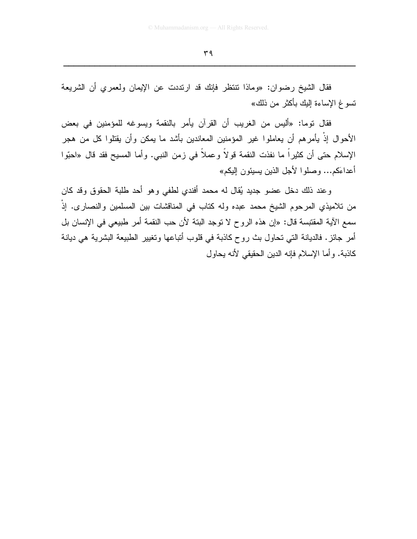فقال الشيخ رضوان: «وماذا تتتظر فإنك قد ارتددت عن الإيمان ولعمرى أن الشريعة تسوغ الإساءة إليك بأكثر من ذلك»

فقال نوما: «أليس من الغريب أن القرآن يأمر بالنقمة ويسوغه للمؤمنين في بعض الأحوال إذْ يأمرهم أن يعاملوا غير المؤمنين المعاندين بأشد ما يمكن وأن يقتلوا كل من هجر الإسلام حتى أن كثيراً ما نفذت النقمة قولاً وعملاً في زمن النبي. وأما المسيح فقد قال «احبّوا أعداءَكم... وصلو ا لأجل الذين يسيئون اليكم»

وعند ذلك دخل عضو جديد يُقال له محمد أفندي لطفي وهو أحد طلبة الحقوق وقد كان من تلاميذي المرحوم الشيخ محمد عبده وله كتاب في المناقشات بين المسلمين والنصارى. إذْ سمع الآية المقتبسة قال: «إن هذه الروح لا توجد البتة لأن حب النقمة أمر طبيعي في الإنسان بل أمر جائز. فالديانة التي تحاول بث روح كاذبة في قلوب أنباعها وتغيير الطبيعة البشرية هي ديانة كاذبة. وأما الإسلام فإنه الدين الحقيقي لأنه يحاول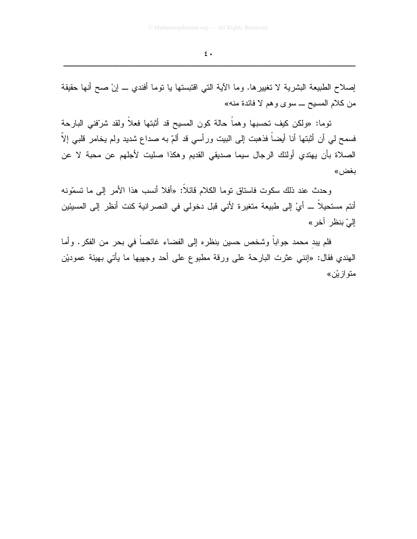إصلاح الطبيعة البشرية لا تغييرها. وما الأية التي اقتبستها يا نوما أفندي \_ إنْ صح أنها حقيقة من كلام المسيح ـــ سوى وهم لا فائدة منه»

توما: «ولكن كيف تحسبها وهماً حالة كون المسيح قد أثبتها فعلاً ولقد شرّففي البارحة فسمح لمي أن أثبتها أنا أيضاً فذهبت إلى البيت ورأسي قد ألمّ به صداع شديد ولم يخامر قلبي إلاّ الصلاة بأن يهتدي أولئك الرجال سيما صديقى القديم وهكذا صليت لأجلهم عن محبة لا عن بغض»

وحدث عند ذلك سكوت فاستاق نوما الكلام قائلاً: «أفلا أنسب هذا الأمر إلى ما تسمّونه أنتم مستحيلاً ــــ أيَّ إلى طبيعة متغيرة لأني قبل دخولي في النصر انية كنت أنظر إلى المسيئين إلىّ بنظر آخر »

فلم ببد محمد جواباً وشخص حسين بنظره إلى الفضاء غائصاً في بحر من الفكر. وأما المهندي فقال: «إننـي عثرت البارحـة علـي ورقة مطبوع علـي أحد وجهيها ما يأتـي بـهيئة عموديْن متو از يُ*ن*»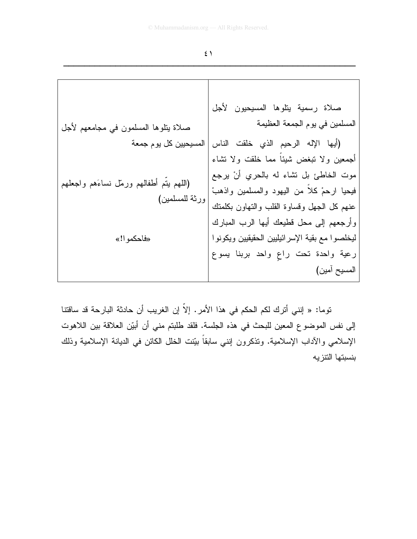توما: « إنني أترك لكم الحكم في هذا الأمر. إلاّ إن الغريب أن حادثة البارحة قد ساقتنا إلى نفس الموضوع المعين للبحث في هذه الجلسة. فلقد طلبتم مني أن أبيّن العلاقة بين اللاهوت الإسلامي والأداب الإسلامية. وتذكرون إنني سابقاً بيّنت الخلل الكائن في الديانة الإسلامية وذلك بنسبتها التنزيه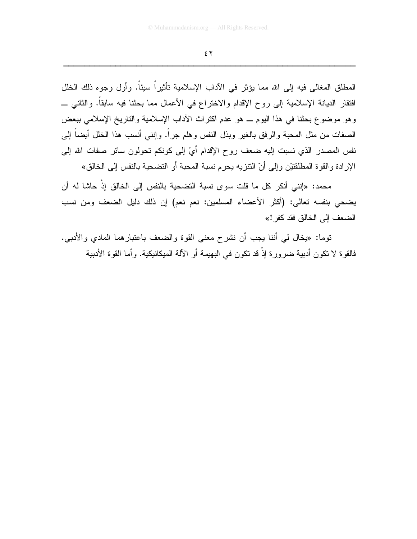المطلق المغالـي فيه إلـي الله مما يؤثر فـي الآداب الإسلامية تأثيراً سيئاً. وأول وجوه ذلك الخلل افتقار الديانة الإسلامية إلى روح الإقدام والاختراع في الأعمال مما بحثنا فيه سابقاً. والثاني ـــ وهو موضوع بحثنا في هذا اليوم ـــ هو عدم اكتراث الأداب الإسلامية والتاريخ الإسلامي ببعض الصفات من مثل المحبة والرفق بالغير وبذل النفس وهلم جراً. وإننبي أنسب هذا الخلل أيضاً إلىي نفس المصدر الذي نسبت إليه ضعف روح الإقدام أيْ إلى كونكم تحولون سائر صفات الله إلى الإرادة والقوة المطلقتيْن وإلى أنّ النتزيه بحرم نسبة المحبة أو التضحية بالنفس إلى الخالق»

محمد: «إنني أنكر كل ما قلت سوى نسبة التضحية بالنفس إلى الخالق إذْ حاشا له أن يضحى بنفسه نعالى: (أكثر الأعضاء المسلمين: نعم نعم) إن ذلك دليل الضعف ومن نسب الضعف إلى الخالق فقد كفر !»

نوما: «يخال لـي أننا يجب أن نشرح معنى القوة والضعف باعتبارهما المادي والأدببي. فالقوة لا تكون أدبية ضرورة إذْ قد تكون في البهيمة أو الآلة الميكانيكية. وأما القوة الأدبية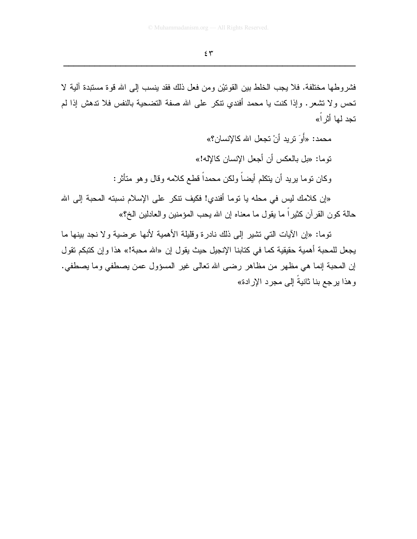فشروطها مختلفة. فلا يجب الخلط بين القونيْن ومن فعل ذلك فقد ينسب إلى الله قوة مستبدة آلية لا تحس ولا تشعر . وإذا كنت يا محمد أفندي نتكر على الله صفة التضحية بالنفس فلا تدهش إذا لم تجد لمها أثر أ»

> محمد: «أَوَ تربد أنْ تجعل الله كالإنسان؟» نوما: «بل بالعكس أن أجعل الإنسان كالإله!» وكان نوما بريد أن ينكلم أيضاً ولكن محمداً قطع كلامه وقال وهو متأثر :

«إن كلامك ليس في محله يا توما أفندي! فكيف نتكر ٍ على الإسلام نسبته المحبة إلى الله حالة كون القرآن كثيراً ما يقول ما معناه إن الله يحب المؤمنين والعادلين الخ؟»

توما: «إن الأيات التي تشير إلى ذلك نادرة وقليلة الأهمية لأنها عرضية ولا نجد بينها ما يجعل للمحبة أهمية حقيقية كما في كتابنا الإنجيل حيث يقول إن «الله محبة!» هذا وإن كتبكم تقول إن المحبة إنما هي مظهر من مظاهر رضي الله نعالى غير المسؤول عمن يصطفى وما يصطفى. وهذا يرجع بنا ثانيةُ إلى مجرد الإرادة»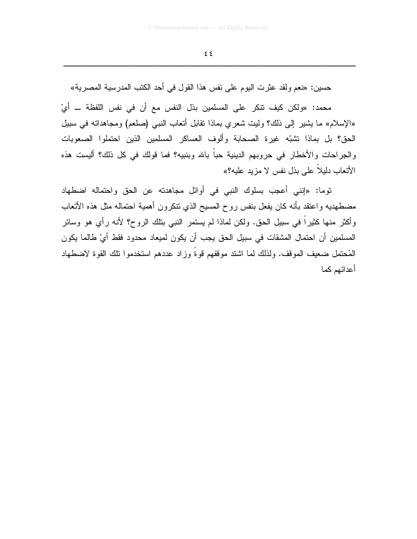حسين: «نعم ولقد عثرت اليوم على نفس هذا القول في أحد الكتب المدرسية المصرية»

محمد: «ولكن كيف نتكر على المسلمين بذل النفس مع أن في نفس اللفظة ـــ أيْ «الإسلام» ما يشير إلى ذلك؟ وليت شعرى بماذا نقابل أنعاب النبي (صلعم) ومجاهداته في سبيل الحق؟ بل بماذا تشبّه غيرة الصحابة وألوف العساكر المسلمين الذين احتملوا الصعوبات والجراحات والأخطار في حروبهم الدينية حباً بالله وبنبيه؟ فما قولك في كل ذلك؟ أليست هذه الأتعاب دليلاً على بذل نفس لا مزيد عليه؟»

توما: «إنني أعجب بسلوك النبي في أوائل مجاهدته عن الحق واحتماله اضطهاد مضطهديه واعتقد بأنه كان يفعل بنفس روح المسيح الذي نتكرون أهمية احتماله مثل هذه الأتعاب وأكثر منها كثيراً في سبيل الحق. ولكن لماذا لم يستمر النبي بتلك الروح؟ لأنه رأى هو وسائر المسلمين أن احتمال المشقات في سبيل الحق يجب أن يكون لميعاد محدود فقط أيْ طالما يكون الْمُحتمل ضعيف الموقف. ولذلك لما اشتد موقفهم قوةً وزاد عددهم استخدموا نلك القوة لاضطهاد أعدائهم كما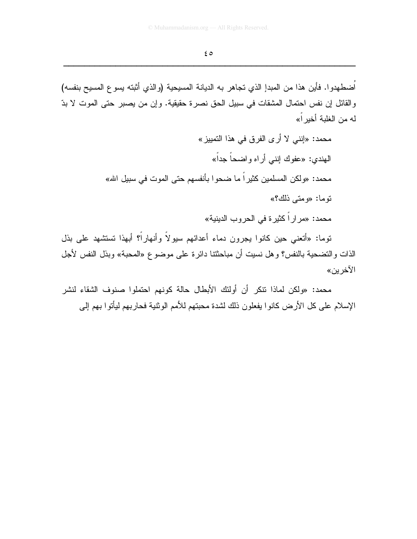اَضطهدوا. فأين هذا من المبدإ الذي تجاهر به الديانة المسيحية (والذي أثبته يسوع المسيح بنفسه) والقائل إن نفس احتمال المشقات في سبيل الحق نصرة حقيقية. وإن من يصبر حتى الموت لا بدّ له من الغلبة أخير أ»

توما: «أتعنى حين كانوا يجرون دماء أعدائهم سيولاً وأنهاراً؟ أبهذا تستشهد على بذل الذات والنضحية بالنفس؟ وهل نسيت أن مباحثتنا دائرة على موضوع «المحبة» وبذل النفس لأجل الآخر ين»

محمد: «ولكن لماذا نتكر أن أولئك الأبطال حالة كونهم احتملوا صنوف الشقاء لنشر الإسلام على كل الأرض كانوا يفعلون ذلك لشدة محبتهم للأمم الوثنية فحاربهم ليأتوا بهم إلى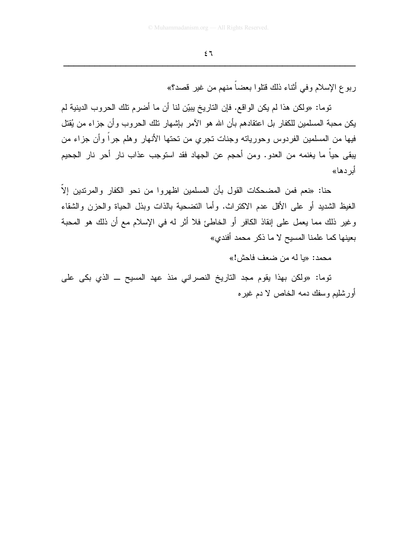ربوع الإسلام وفي أثناء ذلك قتلوا بعضاً منهم من غير قصد؟»

توما: «ولكن هذا لم يكن الواقع. فإن التاريخ يبيّن لنا أن ما أضرم تلك الحروب الدينية لم يكن محبة المسلمين للكفار بل اعتقادهم بأن الله هو الأمر بإشهار نلك الحروب وأن جزاء من يُقتل فيها من المسلمين الفردوس وحورياته وجنات تجري من تحتها الأنهار وهلم جرا وأن جزاء من يبقى حياً ما يغنمه من العدو . ومن أحجم عن الجهاد فقد استوجب عذاب نار أحر نار الجحيم أبر دها»

حنا: «نعم فمن المضحكات القول بأن المسلمين اظهروا من نحو الكفار والمرتدين إلاّ الغيظ الشديد أو على الأقل عدم الاكتراث. وأما التضحية بالذات وبذل الحياة والحزن والشقاء وغير ذلك مما يعمل على إنقاذ الكافر أو الخاطئ فلا أثر له في الإسلام مع أن ذلك هو المحبة بعينها كما علمنا المسيح لا ما ذكر محمد أفندي»

محمد: «يا له من ضعف فاحش!»

توما: «ولكن بهذا يقوم مجد التاريخ النصراني منذ عهد المسيح ــ الذي بكي على أورشليم وسفك دمه الخاص لا دم غير ه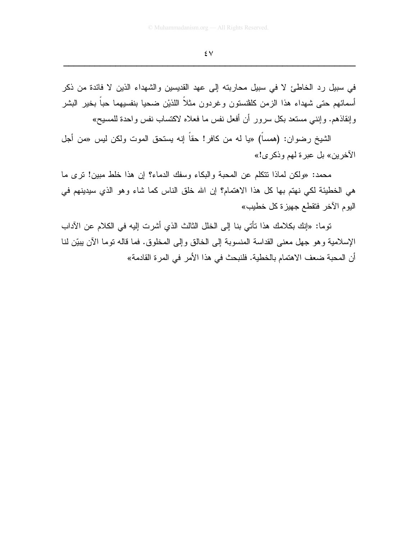### ٤٧

في سبيل رد الخاطئ لا في سبيل محاربته إلى عهد القديسين والشهداء الذين لا فائدة من ذكر أسمائهم حتى شهداء هذا الزمن كلفنستون وغردون مثلاً اللذيْن ضحيا بنفسيهما حباً بخير البشر وإنقاذهم. وإنني مستعد بكل سرور أن أفعل نفس ما فعلاه لاكتساب نفس واحدة للمسيح»

الشيخ رضوان: (همسا) «يا له من كافر! حقا إنه يستحق الموت ولكن ليس «من أجل الآخرين» بل عبر ة لهم وذكر ي!»

محمد: «ولكن لماذا نتكلَّم عن المحبة والبكاء وسفك الدماء؟ إن هذا خلط مبين! نرى ما هي الخطيئة لكي نهتم بها كل هذا الاهتمام؟ إن الله خلق الناس كما شاء وهو الذي سيدينهم في اليو ۾ الآخر فتقطع جهيز ة كل خطيب»

توما: «إنك بكلامك هذا تأتي بنا إلى الخلل الثالث الذي أشرت إليه في الكلام عن الآداب الإسلامية وهو جهل معنى القداسة المنسوبة إلى الخالق وإلى المخلوق. فما قاله نوما الآن يبيِّن لنا أن المحبة ضعف الاهتمام بالخطية. فلنبحث في هذا الأمر في المر ة القادمة»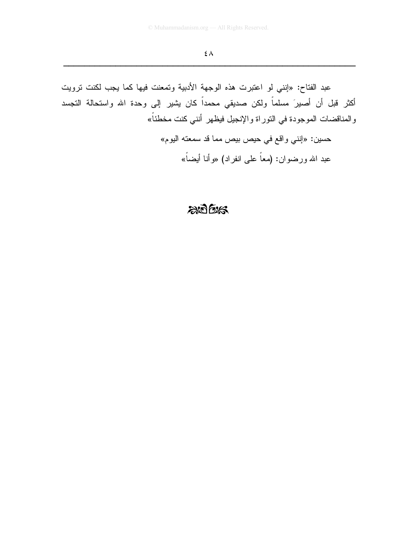عبد الفتاح: «إنني لو اعتبرت هذه الوجهة الأدبية وتمعنت فيها كما يجب لكنت ترويت أكثر قبل أن أصيرَ مسلماً ولكن صديقي محمداً كان يشير إلى وحدة الله واستحالة التجسد والمناقضات الموجودة في التوراة والإنجيل فيظهر أنني كنت مخطئاً»

> حسين: «إنني واقع في حيص بيص مما قد سمعته اليوم» عبد الله ورضوان: (معاً على انفراد) «وأنا أيضاً»

## $205$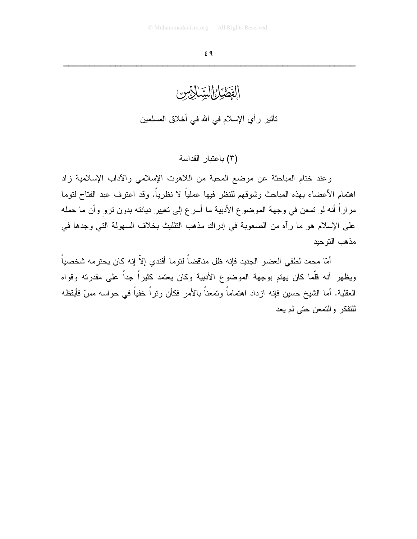الفَطَّيْلُ السِّنَائِيِّسِ: تأثير رأي الإسلام في الله في أخلاق المسلمين

(٣) باعتبار القداسة

وعند ختام المباحثة عن موضع المحبة من اللاهوت الإسلامي والأداب الإسلامية زاد اهتمام الأعضاء بهذه المباحث وشوقهم للنظر فيها عملياً لا نظرياً. وقد اعترف عبد الفتاح لتوما مراراً أنه لو تمعن في وجهة الموضوع الأدبية ما أسرع إلى تغيير ديانته بدون ترو وأن ما حمله على الإسلام هو ما رأه من الصعوبة في إدراك مذهب التثليث بخلاف السهولة التي وجدها في مذهب التوحيد

أمّا محمد لطفي العضو الجديد فإنه ظل مناقضاً لتوما أفندي إلاّ إنه كان يحترمه شخصياً ويظهر أنه قلَّما كان يهتم بوجهة الموضوع الأدبية وكان يعتمد كثيراً جداً على مقدرته وقواه العقلية. أما الشيخ حسين فإنه ازداد اهتماماً وتمعناً بالأمر فكأن وتراً خفياً في حواسه مسّ فأيقظه للنفكر والتمعن حتى لم يعد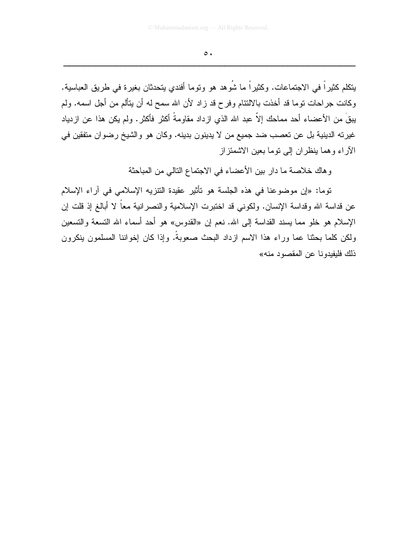$\circ$ .

يتكلم كثيراً في الاجتماعات. وكثيراً ما شُوهد هو وتوما أفندي يتحدثان بغيرة في طريق العباسية. وكانت جراحات نوما قد أخذت بالالتئام وفرح قد زاد لأن الله سمح له أن يتألم من أجل اسمه. ولم يبقَ من الأعضاء أحد مماحك إلاّ عبد الله الذي ازداد مقاومةً أكثر فأكثر. ولم يكن هذا عن ازدياد غيرته الدينية بل عن تعصب ضد جميع من لا يدينون بدينه. وكان هو والشيخ رضوان متفقين في الأراء وهما ينظران إلى نوما بعين الاشمئز إز

وهاك خلاصة ما دار بين الأعضاء في الاجتماع النالي من المباحثة

توما: «إن موضوعنا في هذه الجلسة هو تأثير عقيدة التنزيه الإسلامي في آراء الإسلام عن قداسة الله وقداسة الإنسان. ولكونبي قد اختبرت الإسلامية والنصرانية معاً لا أبالغ إذ قلت إن الإسلام هو خلو مما يسند القداسة إلى الله. نعم إن «القدوس» هو أحد أسماء الله التسعة والتسعين ولكن كلما بحثنا عما وراء هذا الاسم ازداد البحث صعوبةً. وإذا كان إخواننا المسلمون ينكرون ذلك فليفيدونا عن المقصود منه»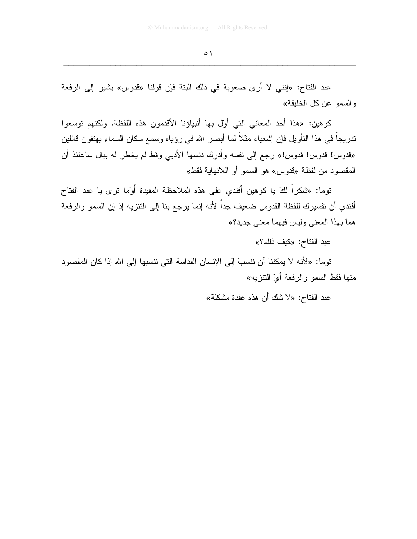عبد الفتاح: «إنني لا أرى صعوبة في ذلك البتة فإن قولنا «قدوس» يشير إلى الرفعة و السمو عن كل الخليقة»

كو هين: «هذا أحد المعاني التي أول بها أنبياؤنا الأقدمون هذه اللفظة. ولكنهم توسعوا ندريجاً في هذا النتأويل فإن إشعياء مثلاً لما أبصر الله في رؤياه وسمع سكان السماء يهتفون قائلين «قدوس! قدوس! قدوس!» رجع إلى نفسه وأدرك دنسها الأدبي وقط لم يخطر له ببال ساعتئذ أن المقصود من لفظة «قدوس» هو السمو أو اللانهاية فقط»

توما: «شكراً لكَ يا كوهين أفندي على هذه الملاحظة المفيدة أَوَما نرى يا عبد الفتاح أفندي أن نفسيرك للفظة القدوس ضعيف جداً لأنه إنما يرجع بنا إلى النتزيه إذ إن السمو والرفعة هما بهذا المعنى وليس فيهما معنى جديد؟»

عبد الفتاح: «كيف ذلك؟»

توما: «لأنه لا يمكننا أن ننسبَ إلى الإنسان القداسة التي ننسبها إلى الله إذا كان المقصود منها فقط السمو والرفعة أيّ النتزيه»

عبد الفتاح: «لا شك أن هذه عقدة مشكلة»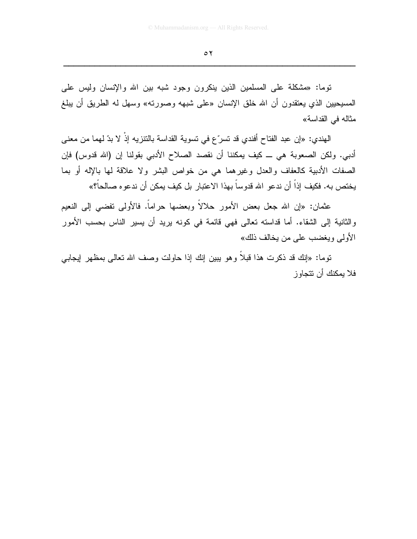توما: «مشكلة على المسلمين الذين بنكرون وجود شبه بين الله والإنسان وليس على المسيحيين الذي يعتقدون أن الله خلق الإنسان «على شبهه وصورته» وسهل له الطريق أن يبلغ مثاله في القداسة»

الهندي: «إن عبد الفتاح أفندي قد تسرّ ع في تسوية القداسة بالتنزيه إذْ لا بدّ لهما من معنى أدبي. ولكن الصعوبة هي ـــ كيف يمكننا أن نقصد الصلاح الأدبي بقولنا إن (الله قدوس) فإن الصفات الأدبية كالعفاف والعدل وغيرهما هي من خواص البشر ولا علاقة لمها بالإله أو بما يختص به. فكيف إذاً أن ندعو الله قدوساً بهذا الاعتبار بل كيف يمكن أن ندعوه صالحاً؟»

عثمان: «إن الله جعل بعض الأمور حلالاً وبعضها حراماً. فالأولى تفضيى إلى النعيم والثانية إلى الشقاء. أما قداسته تعالى فهي قائمة في كونه بريد أن يسير الناس بحسب الأمور الأولى ويغضب على من يخالف ذلك»

توما: «إنك قد ذكرت هذا قبلاً وهو يبين إنك إذا حاولت وصف الله تعالى بمظهر إيجابـي فلا بمكنك أن تتجاو ز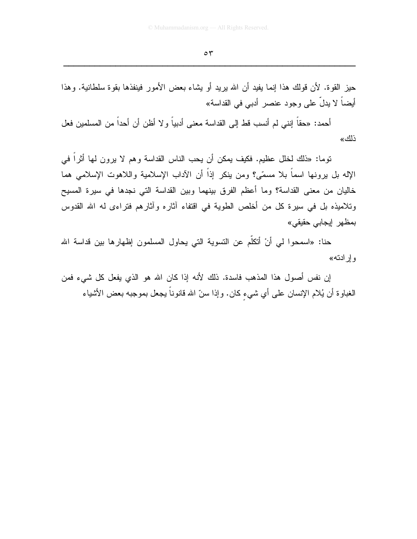حيز القوة. لأن قولك هذا إنما يفيد أن الله يريد أو يشاء بعض الأمور فينفذها بقوة سلطانية. وهذا أيضـاً لا يدلُّ علـى وجود عنصـر أدبـى فـى القداسة»

أحمد: «حقاً إنني لم أنسب قط إلى القداسة معنى أدبياً و لا أظن أن أحداً من المسلمين فعل ذلك»

نوما: «ذلك لخلل عظيم. فكيف يمكن أن يحب الناس القداسة وهم لا يرون لمها أثراً في الإله بل يرونها اسماً بلا مسمّى؟ ومن ينكر إذاً أن الآداب الإسلامية واللاهوت الإسلامي هما خاليان من معنى القداسة؟ وما أعظم الفرق بينهما وبين القداسة التي نجدها في سيرة المسيح وتلاميذه بل في سيرة كل من أخلص الطوية في اقتفاء آثاره وآثارهم فتراءى له الله القدوس بمظهر إيجابي حقيقي»

حنا: «اسمحوا لي أنْ أتكلَّم عن التسوية التي يحاول المسلمون إظهارِها بين قداسة الله وإرادته»

إن نفس أصول هذا المذهب فاسدة. ذلك لأنه إذا كان الله هو الذي يفعل كل شيء فمن الغباوة أن يُلام الإنسان علـى أي شيء كان. وإذا سنَّ الله قانوناً يجعل بموجبه بعض الأشياء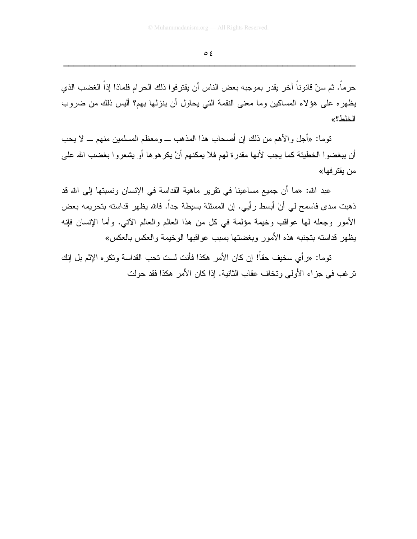حرماً. ثم سنّ قانوناً آخر يقدر بموجبه بعض الناس أن يقترفوا ذلك الحرام فلماذا إذاً الغضب الذي يظهره على هؤلاء المساكين وما معنى النقمة التي يحاول أن ينزلها بهم؟ أليس ذلك من ضروب الخلط؟»

توما: «أجل والأهم من ذلك إن أصحاب هذا المذهب ـــ ومعظم المسلمين منهم ـــ لا يحب أن يبغضوا الخطيئة كما يجب لأنها مقدرة لهم فلا يمكنهم أنْ يكرهوها أو يشعروا بغضب الله على من بقتر فها»

عبد الله: «ما أن جميع مساعينا في تقرير ماهية القداسة في الإنسان ونسبتها إلى الله قد ذهبت سدى فاسمح لي أنْ أبسط رأيي. إن المسئلة بسيطة جداً. فالله يظهر قداسته بتحريمه بعض الأمور وجعله لمها عواقب وخيمة مؤلمة في كل من هذا العالم والعالم الآتي. وأما الإنسان فإنه يظهر قداسته بتجنبه هذه الأمور وبغضنتها بسبب عواقبها الوخيمة والعكس بالعكس»

توما: «رأى سخيف حقاً! إن كان الأمر هكذا فأنت لست تحب القداسة وتكره الإثم بل إنك تر غب في جز اء الأولى وتخاف عقاب الثانية. إذا كان الأمر هكذا فقد حولت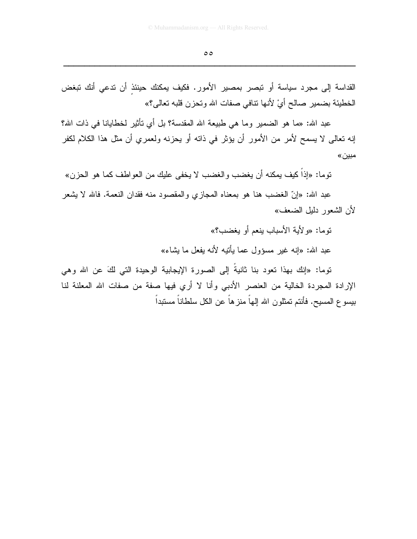القداسة إلى مجرد سياسة أو تبصر بمصير الأمور. فكيف يمكنك حينئذ أن تدعي أنك تبغض الخطيئة بضمير صالح أيْ لأنها نتافى صفات الله وتحزن قلبه تعالى؟»

عبد الله: «ما هو الضمير وما هي طبيعة الله المقدسة؟ بل أي تأثير لخطايانا في ذات الله؟ إنه نعالى لا يسمح لأمر من الأمور أن يؤثر في ذاته أو يحزنه ولعمري أن مثل هذا الكلام لكفر مبين»

توما: «إذاً كيف يمكنه أن يغضب والغضب لا يخفى عليك من العواطف كما هو الحزن»

عبد الله: «إنّ الغضب هنا هو بمعناه المجازي والمقصود منه فقدان النعمة. فالله لا يشعر لأن الشعور دلبل الضعف»

توما: «ولأبة الأسباب بنعم أو بغضب؟»

عبد الله: «إنه غير مسؤول عما يأتيه لأنه يفعل ما بِشاء»

توما: «إنك بهذا تعود بنا ثانيةُ إلى الصورة الإيجابية الوحيدة التي لكَ عن الله وهي الإرادة المجردة الخالية من العنصر الأدبي وأنا لا أرى فيها صفة من صفات الله المعلنة لنا بيسوع المسيح. فأنتم تمثلون الله إلهاً منز هاً عن الكل سلطاناً مستبداً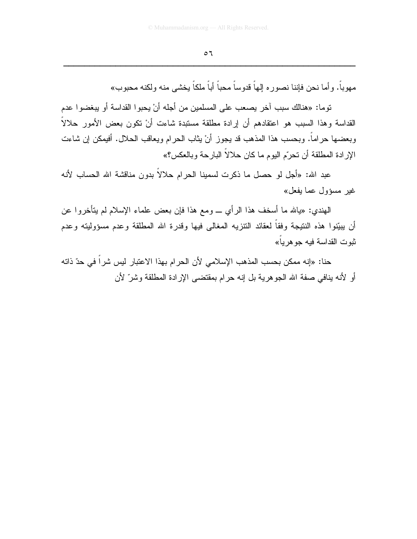مهو باً. و أما نحن فإننا نصور م إلهاً قدوساً محباً أباً ملكاً يخشى منه ولكنه محبوب»

توما: «هنالك سبب آخر بصعب على المسلمين من أجله أنْ بحيوا القداسة أو بيغضوا عدم القداسة وهذا السبب هو اعتقادهم أن إرادة مطلقة مستبدة شاءت أنْ نكون بعض الأمور حلالاً وبعضها حراماً. وبحسب هذا المذهب قد يجوز أنْ يثاب الحرام ويعاقب الحلال. أفيمكن إن شاءت الإر ادة المطلقة أن تحرّم اليوم ما كان حلالاً البارحة وبالعكس؟»

عبد الله: «أجل لو حصل ما ذكرت لسمينا الحرام حلالاً بدون مناقشة الله الحساب لأنه غير مسؤول عما يفعل»

المهندي: «يالله ما أسخف هذا الرأي \_ ومع هذا فإن بعض علماء الإسلام لم يتأخروا عن أن بيبِّنوا هذه النتيجة وفقاً لعقائد النتزيه المغالبي فيها وقدرة الله المطلقة وعدم مسؤوليته وعدم نبو ت القداسة فيه جو هر يا»

حنا: «إنه ممكن بحسب المذهب الإسلامي لأن الحرام بهذا الاعتبار ليس شراً في حدّ ذاته أو لأنه بنافي صفة الله الجوهرية بل إنه حرام بمقتضى الإرادة المطلقة وشرِّ لأن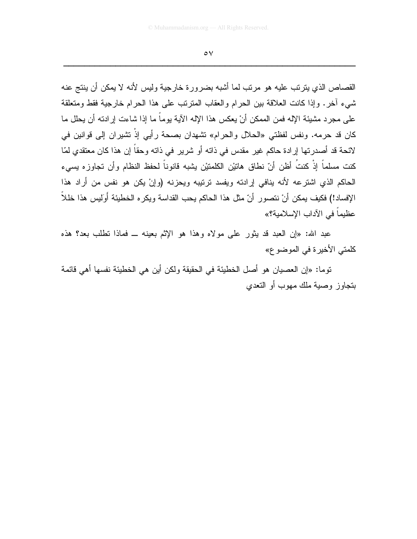القصاص الذي بتر تب عليه هو مر تب لما أشبه بضر و ر ة خار جية و ليس لأنه لا يمكن أن ينتج عنه شيء أخرٍ. وإذا كانت العلاقة بين الحرام والعقاب المترتب على هذا الحرام خارجية فقط ومتعلقة على مجرد مشيئة الإله فمن الممكن أنْ يعكس هذا الإله الآية يوماً ما إذا شاءت إرادته أن يحلل ما كان قد حرمه. ونفس لفظتي «الحلال والحرام» نشهدان بصحة رأيي إذْ نشيران إلى فوانين في لائحة قد أصدرتها إرادة حاكم غير مقدس في ذاته أو شرير في ذاته وحقاً إن هذا كان معتقدي لمّا كنت مسلماً إِنَّ كنتُ أظن أنّ نطاق هاتيْن الكلمتيْن يشبه قانوناً لحفظ النظام وأن تجاوزه يسىء الحاكم الذي اشترعه لأنه ينافى إرادته ويفسد ترتيبه ويحزنه (وإنْ يكن هو نفس من أراد هذا الإفساد!) فكيف بمكن أنْ نتصورٍ أنّ مثل هذا الحاكم بحب القداسة ويكره الخطيئة أُولِيس هذا خللاً ۖ عظيماً في الآداب الإسلامية؟»

عبد الله: «إن العبد قد يثور على مولاه وهذا هو الإثم بعينه ــ فماذا نطلب بعد؟ هذه كلمتي الأخيرة في الموضوع»

توما: «إن العصبيان هو أصل الخطيئة في الحقيقة ولكن أين هي الخطيئة نفسها أهي قائمة بنجاوز وصية ملك مهوب أو النعدي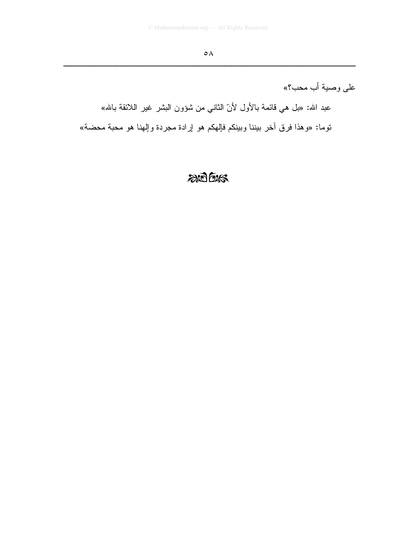على وصية أب محب؟»

عبد الله: «بل هي قائمة بالأول لأنّ الثاني من شؤون البشر غير اللائقة بالله» نوما: «وهذا فرق أخر بيننا وبينكم فإلهكم هو إرادة مجردة وإلهنا هو محبة محضة»

# $205$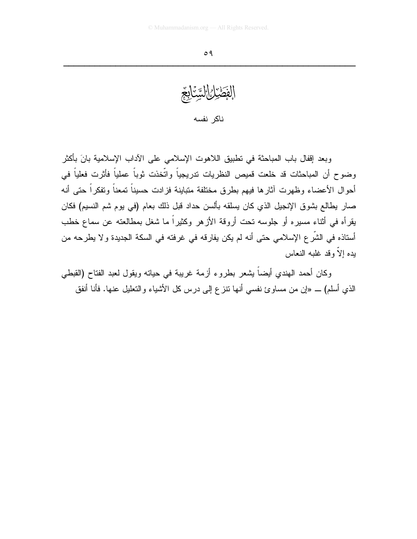الفَضَيْلُ السَّنَابِعَ ناكر نفسه

وبعد إقفال باب المباحثة في تطبيق اللاهوت الإسلامي على الآداب الإسلامية بانَ بأكثر وضوح أن المباحثات قد خلعت قميص النظريات ندريجياً واتَّخذت ثوباً عملياً فأثرت فعلياً في أحوال الأعضاء وظهرت آثارها فيهم بطرق مختلفة متباينة فزادت حسيناً تمعناً وتفكراً حتى أنه صار يطالع بشوق الإنجيل الذي كان يسلقه بألسن حداد قبل ذلك بعام (في يوم شم النسيم) فكان يقرأه في أثناء مسيره أو جلوسه تحت أروقة الأزهر وكثيراً ما شغل بمطالعته عن سماع خطب أستاذه في الشَّر ع الإسلامي حتى أنه لم يكن يفارقه في غرفته في السكة الجديدة و لا يطرحه من يده الاّ وقد غلبه النعاس

وكان أحمد الهندي أيضاً يشعر بطروع أزمة غريبة في حياته ويقول لعبد الفتاح (القبطي الذي أسلم) \_ «إن من مساوئ نفسي أنها نتزع إلى درس كل الأشباء والتعليل عنها. فأنا أنفق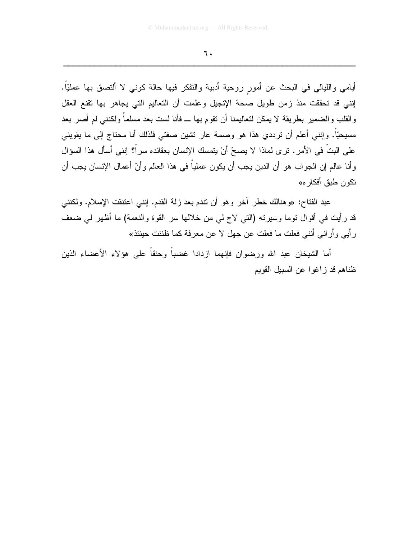أيامي والليالي في البحث عن أمور روحية أدبية والنفكر فيها حالة كوني لا ألنصق بها عمليّاً. إنني قد تحققت منذ زمن طويل صحة الإنجيل وعلمت أن التعاليم التي يجاهر بها نقنع العقل والقلب والضمير بطريقة لا يمكن لتعاليمنا أن نقوم بها ـــ فأنا لست بعد مسلماً ولكننبي لم أصر بعد مسيحيّاً. وإننـي أعلم أن نرددي هذا هو وصمة عار نشين صفتـي فلذلك أنا محتاج إلـي ما يقوينـي على البتِّ في الأمرِ . ترى لماذا لا يصحِّ أنْ يتمسك الإنسان بعقائده سراً؟ إنني أسأل هذا السؤال وأنا عالم إن الجواب هو أن الدين يجب أن يكون عملياً في هذا العالم وأنّ أعمال الإنسان يجب أن تكون طبق أفكار ه»

عبد الفتاح: «وهنالك خطر أخر وهو أن نتدم بعد زلة القدم. إننـي اعتنقت الإسلام. ولكننـي قد رأيت في أقوال نوما وسيرنه (النبي لاح لي من خلالها سر القوة والنعمة) ما أظهر لي ضعف رأيي وأراني أنني فعلت ما فعلت عن جهل لا عن معرفة كما ظننت حينئذ»

أما الشيخان عبد الله ورضوان فإنهما ازدادا غضباً وحنقاً على هؤلاء الأعضاء الذين ظناهم قد زاغوا عن السبيل القويم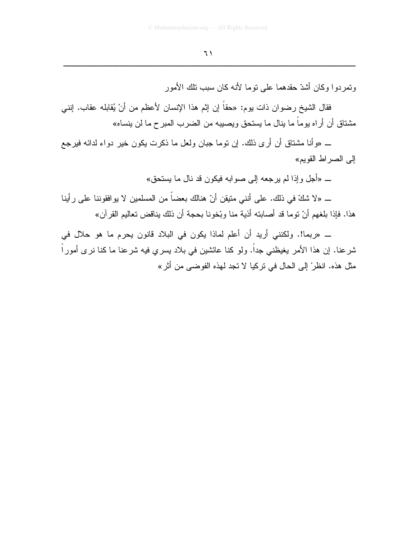وتمر دو ا وكان أشدّ حقدهما على توما لأنه كان سبب تلك الأمور

فقال الشيخ رضوان ذات يوم: «حقًّا إن إثم هذا الإنسان لأعظم من أنْ يُقابله عقاب. إنني مشتاق أن أر اه يو ماً ما ينال ما يستحق ويصبيبه من الضر ب المبر ح ما لن ينساه»

\_ «وأنا مشتاق أن أرى ذلك. إن نوما جبان ولعل ما ذكرت بكون خير دواء لدائه فيرجع إلى الصر اط القويم»

\_ «أجل وإذا لم يرجعه إلى صوابه فيكون قد نال ما يستحق»

ـــ «لا شكّ في ذلك. على أنني متيقن أنّ هنالك بعضاً من المسلمين لا يو افقو ننا على ر أينا هذا. فإذا بلغهم أنّ توما قد أصابته أذية منا وبّخونا بحجة أن ذلك يناقض تعاليم القرآن»

ــ «ربما!. ولكنني أريد أن أعلم لماذا يكون في البلاد قانون يحرم ما هو حلال في شرعنا. إن هذا الأمر يغيظني جداً. ولو كنا عائشين في بلاد يسرى فيه شرعنا ما كنا نرى أموراً مثل هذه. انظر ْ إلى الحال في تركيا لا تجد لهذه الفوضي من أثر »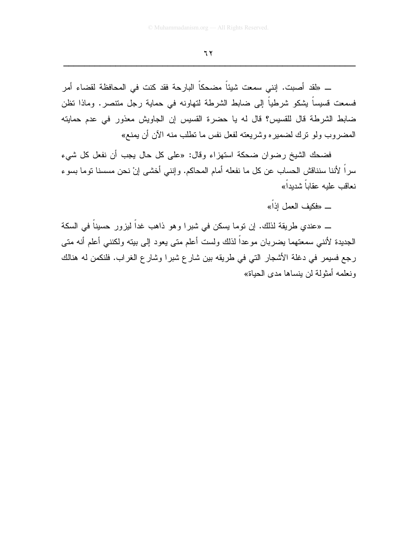ـــ «لقد أصبت. إنني سمعت شيئاً مضحكاً البارحة فقد كنت في المحافظة لقضاء أمر فسمعت فسيساً يشكو شرطياً إلى ضابط الشرطة لتهاونه في حماية رجل متنصر. وماذا نظن ضابط الشرطة قال للقسيس؟ قال له يا حضرة القسيس إن الجاويش معذور في عدم حمايته المضروب ولو نرك لضميره وشريعته لفعل نفس ما تطلب منه الآن أن يمنع»

فضحك الشيخ رضوان ضحكة استهزاء وقال: «على كل حال يجب أن نفعل كل شيء سراً لأننا سنناقش الحساب عن كل ما نفعله أمام المحاكم. وإنني أخشى إنْ نحن مسسنا نوما بسوء نعاقب علبه عقاباً شدبداً»

ــ «فكيف العمل اذاً»

ــ «عندي طريقة لذلك. إن نوما يسكن في شبرا وهو ذاهب غداً ليزور حسيناً في السكة الجديدة لأننـي سمعتهما يضـربـان موحداً لذلك ولست أعلم متـى يعود إلـى ببيته ولكننـي أعلم أنـه متـى رجع فسيمر في دغلة الأشجار التي في طريقه بين شارع شبرا وشارع الغراب. فلنكمن له هنالك ونعلمه أمثولة لن ينساها مدى الحياة»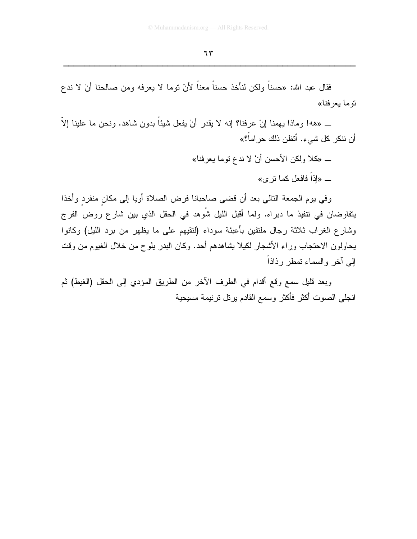فقال عبد الله: «حسناً ولكن لنأخذ حسناً معناً لأنّ توما لا يعرفه ومن صـالحنا أنْ لا ندع توما بعر فنا»

ــ «هه! وماذا بِهمنا إنْ عرفنا؟ إنه لا يقدر أنْ يفعل شيئاً بدون شاهد. ونحن ما علينا إلاّ ا أن ننكر كل شيء. أتظن ذلك حر اماً؟»

> ــ «كلا ولكن الأحسن أنْ لا ندع نوما يعرفنا» \_ «اذاً فافعل كما نز ي»

وفي يوم الجمعة النالي بعد أن قضي صاحبانا فرض الصلاة أويا إلى مكان منفرد وأخذا يتفاوضان في نتفيذ ما دبراه. ولما أقبل الليل شُوهد في الحقل الذي بين شار ع روض الفر ج وشارع الغراب ثلاثة رجال ملتفين بأعبئة سوداء (لنقيهم على ما يظهر من برد الليل) وكانوا يحاولون الاحتجاب وراء الأشجار لكيلا يشاهدهم أحد. وكان البدر يلوح من خلال الغيوم من وفت إلى أخر والسماء تمطر رذاذاً

وبعد قليل سمع وقع أقدام في الطرف الآخر من الطريق المؤدي إلى الحقل (الغيط) ثم انجلي الصوت أكثر فأكثر وسمع القادم برنل نرنيمة مسيحية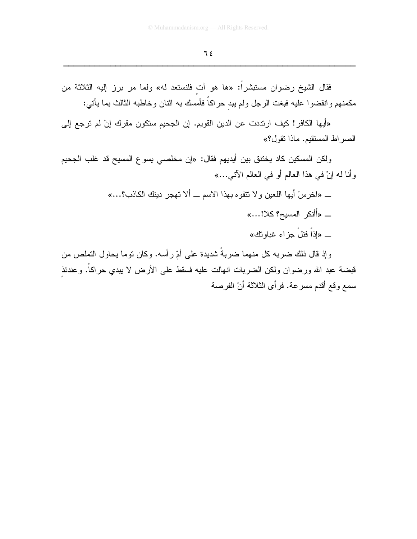فقال الشيخ رضوان مستبشراً: «ها هو أت فلنستعد له» ولما مر برز إليه الثلاثة من مكمنهم وانقضوا عليه فبغت الرجل ولم ببد حراكاً فأمسك به اثنان وخاطبه الثالث بما يأتى:

«أيها الكافر! كيف ارتددت عن الدين القويم. إن الجحيم ستكون مقرك إنْ لم ترجع إلى الصراط المستقيم. ماذا تقول؟»

ولكن المسكين كاد يختنق بين أيديهم فقال: «إن مخلصي يسوع المسيح قد غلب الجحيم وأنا له إنْ في هذا العالم أو في العالم الآتي...»

ـــ «اخر سْ أيها اللعين و لا تتفوه بهذا الاسم ـــ ألا تهجر دينك الكاذب؟...»

\_ «أَأنكر المسيح؟ كلا!...»

ــــــ «إذاً فنلْ جزاء غباونك»

وإذ قال ذلك ضربه كل منهما ضربةٌ شديدة على أمّ رأسه. وكان نوما يحاول التملص من قبضة عبد الله ورضوان ولكن الضربات انهالت عليه فسقط على الأرض لا يبدي حراكاً. وعندئذ سمع وقع أقدم مسرعة. فرأى الثلاثة أنّ الفرصة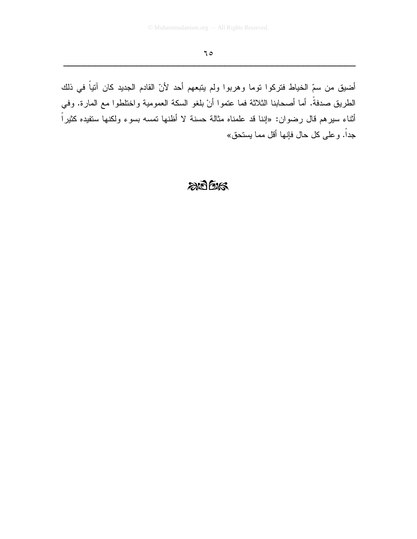أضيق من سمّ الخياط فتركوا توما وهربوا ولم يتبعهم أحد لأنّ القادم الجديد كان آنياً في ذلك الطريق صدفةً. أما أصحابنا الثلاثة فما عتموا أنْ بلغو السكة العمومية واختلطوا مع المارة. وفي أثناء سيرهم قال رضوان: «إننا قد علمناه مثالة حسنة لا أظنها تمسه بسوء ولكنها ستفيده كثيراً جداً. وعلى كل حال فإنها أقل مما يستحق»

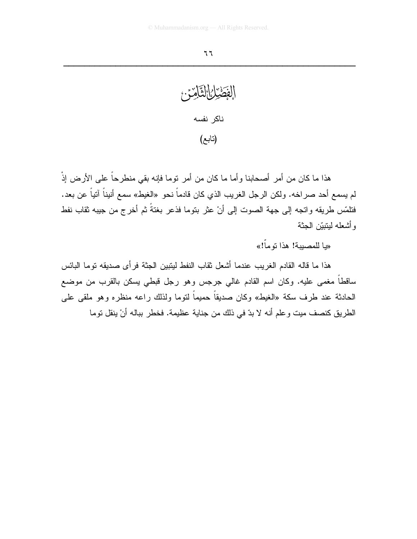الفَصْيَانِ التَّامِّدِّ.<br>الفَصْيَانِ التَّامِّدِّ. ناكر نفسه (تابع)

هذا ما كان من أمر أصحابنا وأما ما كان من أمر نوما فإنه بقى منطرحاً على الأرض إذْ لم يسمع أحد صراخه. ولكن الرجل الغريب الذي كان قادماً نحو «الغيط» سمع أنيناً آتياً عن بعد. فتلمَّس طريقه واتجه إلى جهة الصوت إلى أنْ عثر بتوما فذعر بغتةً ثم أخرج من جيبه ثقاب نفط وأشعله لبنيتن الجثة

«با للمصبية! هذا تو ماً!»

هذا ما قاله القادم الغريب عندما أشعل ثقاب النفط لينبين الجثة فر أي صديقه نوما البائس ساقطاً مغمى عليه. وكان اسم القادم غالي جرجس وهو رجل قبطي يسكن بالقرب من موضع الحادثة عند طرف سكة «الغيط» وكان صديقاً حميماً لتوما ولذلك راعه منظره وهو ملقى على الطريق كنصف ميت وعلم أنه لا بدّ في ذلك من جناية عظيمة. فخطر بباله أنْ ينقل نوما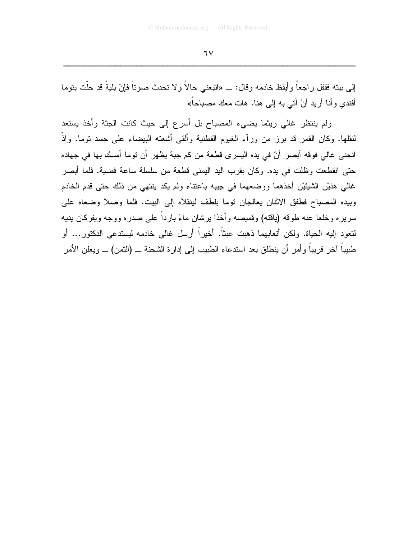إلى ببته فقفل راجعاً وأيقظ خادمه وقال: ـــ «انبعني حالاً و لا نحدث صونـاً فإنّ بليةً قد حلّت بنوما أفندي وأنا أريد أنْ آت<sub>ى</sub> به إلى هنا. هات معك مصباحاً»

ولم ينتظر غالي ريثما يضيىء المصباح بل أسرع إلى حيث كانت الجثة وأخذ يستعد لنقلها. وكان القمر قد برز من ورأء الغيوم القطنية وألقى أشعته البيضاء على جسد نوما. وإذْ انحنى غالى فوقه أبصر أنّ في يده اليسرى قطعة من كم جبة يظهر أن توما أمسك بها في جهاده حتى انقطعت وظلت في يده. وكان بقرب اليد اليمني قطعة من سلسلة ساعة فضية. فلما أبصر غالبي هذيْنِ الشيئيْنِ أخذهما ووضعهما في جيبه باعتناء ولم يكد ينتهي من ذلك حتى قدم الخادم وبيده المصباح فطفق الاثنان يعالجان نوما بلطف لينقلاه إلى البيت. فلما وصلا وضعاه على سريره وخلعا عنه طوقه (باقته) وقميصه وأخذا برشان ماءً بارداً على صدره ووجه ويفركان بديه لتعود إليه الحياة. ولكن أتعابهما ذهبت عبثاً. أخيراً أرسل غالبي خادمه ليستدعى الدكتور… أو طبيباً آخر قريباً وأمر أن ينطلق بعد استدعاء الطبيب إلى إدارة الشحنة ـــ (النمن) ـــ ويعلن الأمر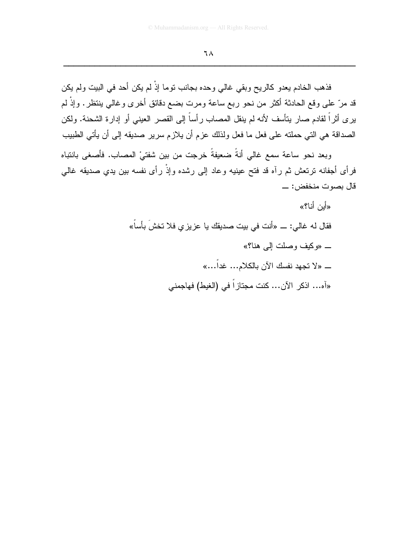فذهب الخادم يعدو كالريح وبقي غالي وحده بجانب توما إذْ لم يكن أحد في البيت ولم يكن قد مرّ علـى وقع الـحادثـة أكثر من نحو ربـع ساعة ومرت بضـع دقائق أخرى وغالـى ينتظر . وإذْ لـم يرى أثراً لقادم صار يتأسف لأنه لم ينقل المصاب رأساً إلى القصر العيني أو إدارة الشحنة. ولكن الصداقة هي التي حملته على فعل ما فعل ولذلك عزم أن يلازم سرير صديقه إلى أن يأتي الطبيب

وبعد نحو ساعة سمع غالبي أنةً ضعيفةً خرجت من بين شفتيْ المصباب. فأصغى بانتباه فرأى أجفانه نرنعش ثم رآه قد فتح عينيه وعاد إلى رشده وإذْ رأى نفسه بين يدي صديقه غالى 

> «أين أنا؟» فقال له غالي: ـــ «أنت في بيت صديقك يا عزيز ي فلا تخشَ بأساً» \_ «وكيف وصلت إلى هنا؟» ـــــ «لا تجهد نفسك الآن بالكلام... غداً...» «آه... اذكر الآن... كنت مجتازاً في (الغيط) فهاجمني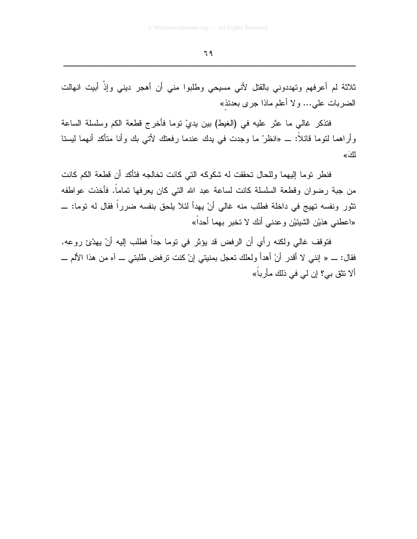ثلاثة لم أعرفهم وتهددوني بالقتل لأني مسيحي وطلبوا مني أن أهجر ديني وإذْ أبيت انهالت الضربات على... ولا أعلم ماذا جرى بعدئذ»

فتذكر غالبي ما عثر عليه في (الغيط) بين يديْ توما فأخرج قطعة الكم وسلسلة الساعة وأراهما لنوما قائلًا: ــ «انظرْ ما وجدت في يدك عندما رفعتك لأتـى بك وأنا متأكد أنـهما ليستا لكَ»

فنطر نوما إليهما وللحال نحققت له شكوكه التي كانت نخالجه فتأكد أن قطعة الكم كانت من جبة رضوان وقطعة السلسلة كانت لساعة عبد الله التي كان يعرفها تماماً. فأخذت عواطفه تثور ونفسه تهيج في داخلة فطلب منه غالي أنْ يهدأ لئلا يلحق بنفسه ضرراً فقال له توما: \_ «اعطني هذيْن الشيئيْن وعدني أنك لا تخبر بهما أحداً»

فتوقف غالمي ولكنه رأي أن الرفض قد يؤثر في توما جداً فطلب إليه أنْ يهدِّئ روعه. فقال: \_ « إنني لا أقدر أنْ أهدأ ولعلك تعجل بمنيتي إنْ كنت ترفض طلبتي \_ آه من هذا الألم \_\_ ألا نتق بي؟ إن لي في ذلك مأر باً»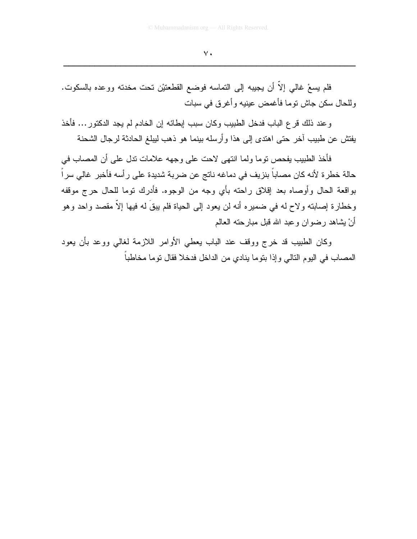فلم يسعْ غالبي إلاَّ أن يجيبه إلي النماسه فوضع القطعتيْن نحت مخدنه ووعده بالسكوت. وللحال سكن جاش نوما فأغمض عينيه وأغرق في سبات

وعند ذلك فرع الباب فدخل الطبيب وكان سبب إبطائه إن الخادم لم يجد الدكتور … فأخذ يفتش عن طبيب آخر حتى اهتدى إلى هذا وأرسله بينما هو ذهب ليبلغ الحادثة لرجال الشحنة

فأخذ الطبيب يفحص توما ولما انتهى لاحت على وجهه علامات تدل على أن المصاب في حالة خطرة لأنه كان مصاباً بنزيف في دماغه ناتج عن ضربة شديدة على رأسه فأخبر غالي سر اً بواقعة الحال وأوصاه بعد إقلاق راحته بأي وجه من الوجوه. فأدرك توما للحال حرج موقفه وخطارة إصابته ولاح له في ضمير ه أنه لن يعود إلى الحياة فلم يبقَ له فيها إلاَّ مقصد واحد وهو أنْ بِشَاهِدٍ رضوانٍ وعبدِ اللهِ قبلِ مبارِ حتهِ العالمِ

وكان الطبيب قد خرج ووقف عند الباب يعطي الأوامر اللازمة لغالي ووعد بأن يعود المصاب في اليوم التالي وإذا بتوما ينادي من الداخل فدخلا فقال توما مخاطباً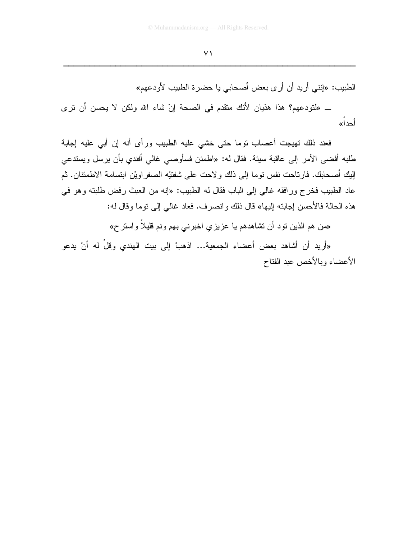الطبيب: «إنني أريد أن أرى بعض أصحابي يا حضرة الطبيب لأودعهم» ــ «لتودعهم؟ هذا هذيان لأنك متقدم في الصحة إنْ شاء الله ولكن لا يحسن أن ترى أحدا»

فعند ذلك تهيجت أعصاب توما حتى خشى عليه الطبيب ورأى أنه إن أبى عليه إجابة طلبه أفضى الأمر إلى عاقبة سيئة. فقال له: «اطمئن فسأوصى غالى أفندي بأن يرسل ويستدعى إليك أصحابك. فارتاحت نفس توما إلى ذلك ولاحت على شفتيْه الصفر اويْن ابتسامة الاطمئنان. ثم عاد الطبيب فخرج ورافقه غالبي إلى الباب فقال له الطبيب: «إنه من العبث رفض طلبته وهو في هذه الحالة فالأحسن إجابته إليها» قال ذلك وإنصرف. فعاد غالبي إلى توما وقال له:

«من هم الذين نود أن نشاهدهم يا عزيزي اخبرنـي بـهم ونـم قليلاً واستر ح»

«أريد أن أشاهد بعض أعضاء الجمعية... اذهبْ إلى بيت الهندي وقلْ له أنْ يدعو الأعضاء وبالأخص عبد الفتاح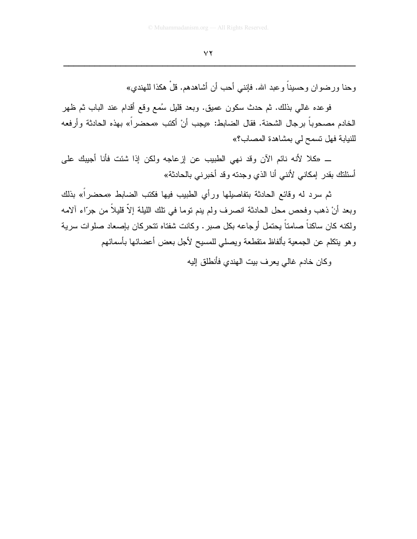وحنا ورضوان وحسيناً وعبد الله. فإنني أحب أن أشاهدهم. قلْ هكذا للهندي»

فوعده غالبي بذلك. ثم حدث سكون عميق. وبعد قليل سُمع وقع أقدام عند الباب ثم ظهر الخادم مصحوباً برجال الشحنة. فقال الضابط: «يجب أنْ أكتب «محضراً» بهذه الحادثة وأرفعه للنيابة فهل تسمح لي بمشاهدة المصاب؟»

ــ «كلا لأنه نائم الآن وقد نهى الطبيب عن لزعاجه ولكن إذا شئت فأنا أجيبك على أسئلنك بقدر إمكاني لأنني أنا الذي وجدته وقد أخبرني بالحادثة»

ثم سرد له وقائع الحادثة بتفاصيلها ورأى الطبيب فيها فكتب الضابط «محضراً» بذلك وبعد أنْ ذهب وفحص محل الحادثة انصرف ولم ينم نوما في نلك الليلة إلاَّ قليلاً من جرّاء ألامه ولكنه كان ساكناً صامتاً يحتمل أوجاعه بكل صبر . وكانت شفتاه تتحركان بإصعاد صلوات سرية وهو ينكلم عن الجمعية بألفاظ منقطعة ويصلىي للمسيح لأجل بعض أعضائها بأسمائهم

وكان خادم غالبي يعر ف بيت الهندي فأنطلق إليه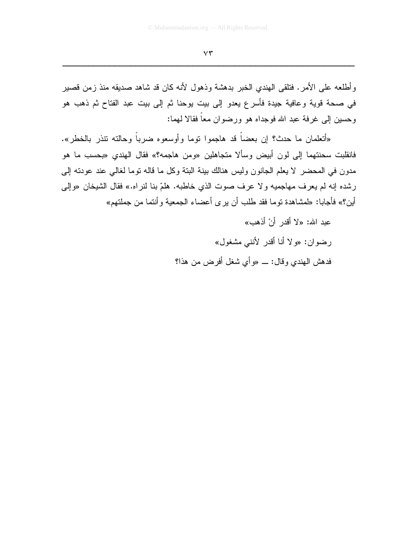وأطلعه على الأمر. فتلقى الهندي الخبر بدهشة وذهول لأنه كان قد شاهد صديقه منذ زمن قصير في صحة قوية وعافية جيدة فأسرع يعدو إلى بيت يوحنا ثم إلى بيت عبد الفتاح ثم ذهب هو و حسين إلى غر فة عبد الله فوجداه هو ورضوان معاً فقالا لهما:

«أنعلمان ما حدث؟ إن بعضاً قد هاجموا نوما وأوسعوه ضرباً وحالته نتذر بالخطر». فانقلبت سحنتهما إلى لون أبيض وسألا متجاهلين «ومن هاجمه؟» فقال الهندي «بحسب ما هو مدون في المحضر لا يعلم الجانون وليس هنالك ببنة البنة وكل ما قاله نوما لغالي عند عودنه إلى رشده إنه لم يعرف مهاجميه ولا عرف صوت الذي خاطبه. هلمّ بنا لنراه.» فقال الشيخان «وإلى أين؟» فأجابا: «لمشاهدة نوما فقد طلب أن يرى أعضاء الجمعية و أنتما من جملتهم»

> عبد الله: «لا أقدر أنْ أذهب» رضوان: «ولا أنا أقدر لأنني مشغول» فدهش المهندي وقال: \_ «وأى شغل أفرض من هذا؟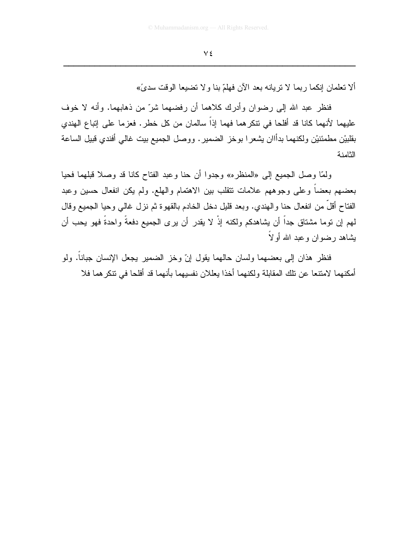ألا تعلمان إنكما ربما لا تريانه بعد الآن فهلمّ بنا ولا تضبعا الوقت سديَّ»

فنظر عبد الله إلى رضوان وأدرك كلاهما أن رفضهما شرّ من ذهابهما. وأنه لا خوف عليهما لأنهما كانا قد أفلحا في نتكر هما فهما إذاً سالمان من كل خطر . فعز ما على إنباع الهندي بقلبيْن مطمئنيْن ولكنهما بدأاان يشعرا بوخز الضمير. ووصل الجميع بيت غالمي أفندي قبيل الساعة الثامنة

ولَّمَّا وصلَّ الجميع إلى «المنظره» وجدوا أن حنا وعبد الفتاح كانا قد وصلا قبلهما فحيا بعضمهم بعضاً وعلىي وجوههم علامات نتقلب بين الاهتمام والهلع. ولم يكن انفعال حسين وعبد الفتاح أقل من انفعال حنا والهندي. وبعد قليل دخل الخادم بالقهوة ثم نزل غالبي وحيا الجميع وقال لمهم إن نوما مشتاق جداً أن يشاهدكم ولكنه إذْ لا يقدر أن يرى الجميع دفعةً واحدةً فهو يحب أن يشاهد رضوان وعبد الله أولاً

فنظر هذان إلى بعضهما ولسان حالهما يقول إنّ وخز الضمير يجعل الإنسان جبانا. ولو أمكنهما لامتنعا عن نلك المقابلة ولكنهما أخذا يعللان نفسيهما بأنهما قد أفلحا في نتكر هما فلا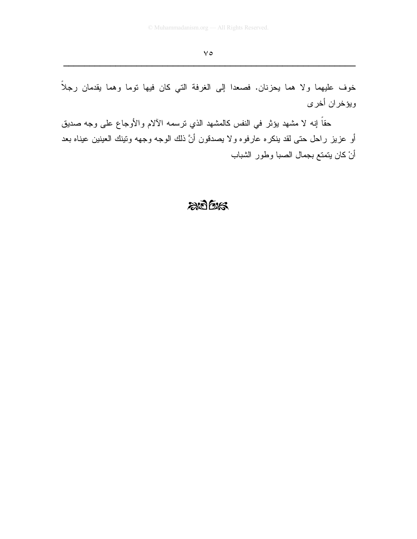خوف عليهما ولا هما يحزنان. فصعدا إلى الغرفة التي كان فيها توما وهما يقدمان رجلاً ويؤخران أخرى

حقاً إنه لا مشهد يؤثِّر في النفس كالمشهد الذي نرسمه الآلام والأوجاع على وجه صديق أو عزيز راحل حتى لقد ينكره عارفوه ولا يصدقون أنَّ ذلك الوجه وجهه وننينك العينين عيناه بعد أنْ كان يتمتع بجمال الصبا وطور الشباب

## $205$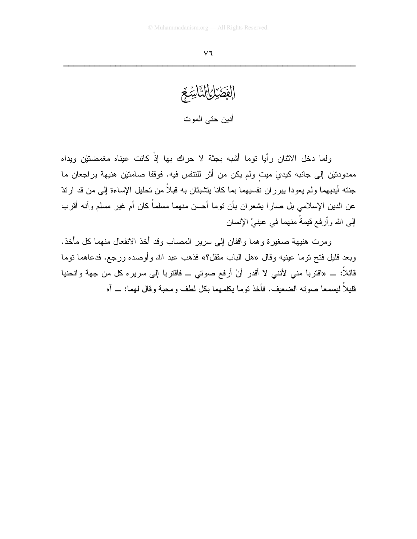الفَطَيْلُ التَّاسِّعُ أدين حتى الموت

ولما دخل الاثنان رأيا توما أشبه بجثة لا حراك بها إذْ كانت عيناه مغمضتيْن ويداه ممدودنيْن إلى جانبه كيديْ ميت ولم يكن من أثر للنتفس فيه. فوقفا صامنيْن هنيهة يراجعان ما جنته أيديهما ولم يعودا يبرران نفسيهما بما كانا يتشبثان به قبلاً من تحليل الإساءة إلى من قد ارتدّ عن الدين الإسلامي بل صـارا بشعران بأن نوما أحسن منهما مسلماً كان أم غير مسلم وأنـه أقرب اِلِّي الله وأرفع قيمةً منهما في عينيْ الإنسان

ومرت هنيهة صغير ة و هما و اقفان إلى سرير المصاب و قد أخذ الانفعال منهما كل مأخذ. وبعد قليل فتح نوما عينيه وقال «هل الباب مقفل؟» فذهب عبد الله وأوصده ورجع. فدعاهما نوما قائلاً: ــ «اقتربا منى لأنني لا أقدر أنْ أرفع صوتي ــ فاقتربا إلى سريره كل من جهة وانحنيا قليلاً ليسمعا صوته الضعيف. فأخذ توما يكلمهما بكل لطف ومحبة وقال لهما: ـــ آه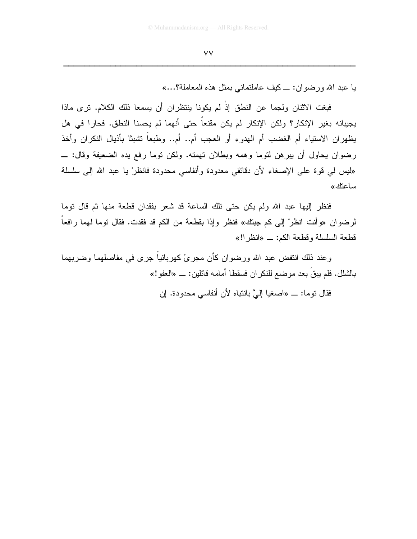## $\vee\vee$

يا عبد الله ورضوان: \_ كيف عاملتماني بمثل هذه المعاملة؟...»

فبغت الاثنان ولجما عن النطق إذْ لم يكونا ينتظران أن يسمعا ذلك الكلام. ترى ماذا يجيبانه بغير الإنكار؟ ولكن الإنكار لم يكن مقنعاً حتى أنهما لم يحسنا النطق. فحارا في هل يظهران الاستياء أم الغضب أم الهدوء أو العجب أم.. أم.. وطبعاً نشبثا بأذيال النكران وأخذ رضوان يحاول أن يبرهن لتوما وهمه وبطلان تهمته. ولكن توما رفع يده الضعيفة وقال: \_ «ليس لمي فوة على الإصغاء لأن دقائقي معدودة وأنفاسي محدودة فانظرْ يا عبد الله إلى سلسلة ساعتك»

فنظر إليها عبد الله ولم يكن حتى تلك الساعة قد شعر بفقدان قطعة منها ثم قال نوما لرضوان «وأنت انظرْ إلى كم جبنك» فنظر وإذا بقطعة من الكم قد فقدت. فقال نوما لهما رافعا قطعة السلسلة وقطعة الكم: \_ «انظر!!»

وعند ذلك انتفض عبد الله ورضوان كأن مجرئ كهربائياً جرى في مفاصلهما وضربهما بالشلل. فلم يبقَ بعد موضـع للنكران فسقطا أمامـه قائلين: ـــ «الـعفو!»

فقال توما: ـــ «اصغيا إلىَّ بانتباه لأن أنفاسي محدودة. إن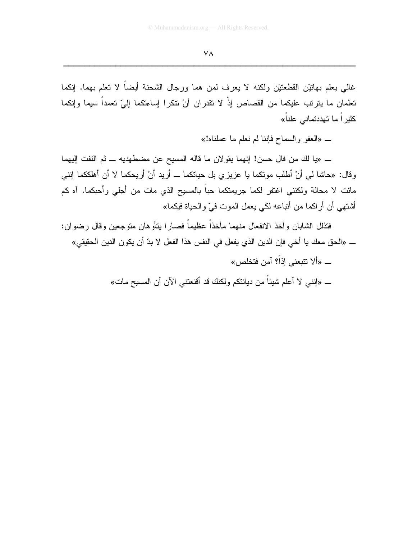غالبي يعلم بهانيْن القطعتيْن ولكنه لا يعرف لمن هما ورجال الشحنة أيضاً لا تعلم بهما. إنكما تعلمان ما يترتب عليكما من القصاص إذْ لا تقدران أنْ تتكرا إساءتكما إلىّ تعمداً سيما وإنكما كثير اً ما تهددت*م*ان*ي* علناً»

ـ «العفو والسماح فإننا لم نعلم ما عملناه!»

ــ «يا لك من فال حسن! إنهما يقولان ما قاله المسيح عن مضطهديه ــ ثم التفت إليهما وفال: «حاشا لبي أنْ أطلب مونكما يا عزيزي بل حياتكما ـــ أريد أنْ أريحكما لا أن أهلككما إنني مائت لا محالة ولكننـى اغتفر لكما جريمتكما حباً بالمسيح الذي مات من أجلـى وأحبكما. آه كم أشتهي أن أراكما من أتباعه لكي يعمل الموت فيِّ والحياة فيكما»

فتذلل الشابان وأخذ الانفعال منهما مأخذاً عظيماً فصارا بنأوهان متوجعين وقال رضوان: ـــ «الحق معك يا أخي فإن الدين الذي يفعل في النفس هذا الفعل لا بدّ أن يكون الدين الحقيقي»

- ــ «ألا تتبعني إذاً؟ آمن فتخلص»
- ــ «إننـي لا أعلم شيئاً من ديانتكم ولكنك قد أقنعتنـي الآن أن المسيح مات»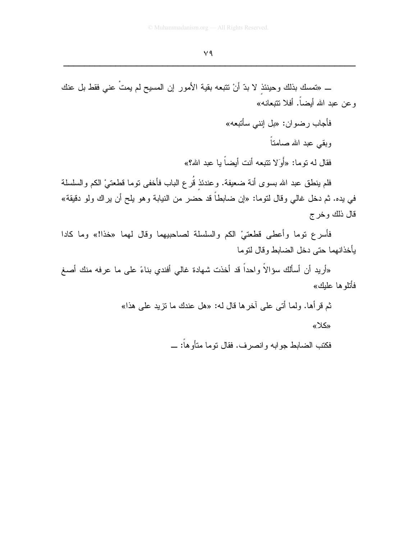ـــ «تمسك بذلك وحينئذ لا بدّ أنْ تتبعه بقية الأمور إن المسيح لم يمتٌ عني فقط بل عنك وعن عبد الله أيضاً. أفلا نتبعانـه»

فأجاب رضوان: «بل اِننبي سأنبعه»

وبقى عبد الله صامتاً

فقال له توما: «أَوَلا تتبعه أنت أيضاً با عبد الله؟»

فلم ينطق عبد الله بسوى أنة ضعيفة. وعندئذ قُرع الباب فأخفى نوما قطعتيْ الكم والسلسلة في يده. ثم دخل غالي وقال لتوما: «إن ضابطاً قد حضر من النيابة وهو يلح أن يراك ولو دقيقة» قال ذلك وخرج

فأسرع نوما وأعطى قطعتيْ الكم والسلسلة لصاحبيهما وقال لهما «خذا!» وما كادا بأخذانهما حتى دخل الضابط وقال لتوما

«أريد أن أسألك سؤالاً واحداً قد أخذت شهادة غالي أفندي بناءً على ما عرفه منك أصغ فأتلو ها علىك»

ثم قرأها. ولما أتى على آخرها قال له: «هل عندك ما نزيد على هذا»

«كلا»

فكتب الضابط جوابه وانصرف. فقال نوما منأوهاً: \_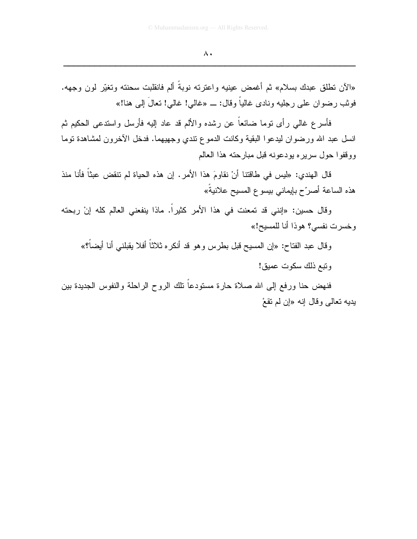«الآن تطلق عبدك بسلام» ثم أغمض عينيه واعترنه نوبةً ألم فانقلبت سحنته وتغيّر لون وجهه. فوثب رضوان على رجليه ونادي غالياً وقال: \_\_ «غالي! غالي! تعالَ إلى هنا!»

فأسر ع غالبي ر أي نوما ضائعاً عن رشده والألم قد عاد إليه فأرسل واستدعى الحكيم ثم انسل عبد الله ورضوان ليدعوا البقية وكانت الدموع نتدي وجهيهما. فدخل الأخرون لمشاهدة نوما ووقفوا حول سريره بودعونه قبل مبارحته هذا العالم

قال الهندي: «ليس في طاقتنا أنْ نقاومَ هذا الأمر . إن هذه الحياة لم تنقض عبثاً فأنا منذ هذه الساعة أصرِّح بإيماني بيسوع المسيح علانيةُ»

وقال حسين: «إنني قد تمعنت في هذا الأمر كثيرًا. ماذا ينفعني العالم كله إنْ ربحته وخسرت نفسي؟ هوذا أنا للمسيح!»

وقال عبد الفتاح: «إن المسيح قبل بطرس وهو قد أنكره ثلاثاً أفلا يقبلني أنا أيضاً؟»

وتبع ذلك سكوت عميق!

فنهض حنا ورفع إلىي الله صلاة حارة مستودعاً نلك الروح الراحلة والنفوس الجديدة بين بديه تعالى وقال إنه «إن لم تقعْ